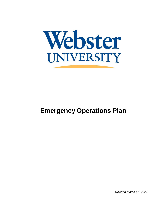

# **Emergency Operations Plan**

*Revised March 17, 2022*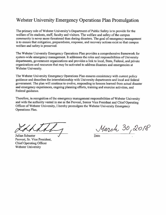## Webster University Emergency Operations Plan Promulgation

The primary role of Webster University's Department of Public Safety is to provide for the welfare of its students, staff, faculty and visitors. The welfare and safety of the campus community is never more threatened than during disasters. The goal of emergency management is to ensure that mitigation, preparedness, response, and recovery actions exist so that campus welfare and safety is preserved.

The Webster University Emergency Operations Plan provides a comprehensive framework for system-wide emergency management. It addresses the roles and responsibilities of University departments, government organizations and provides a link to local, State, Federal, and private organizations and resources that may be activated to address disasters and emergencies at Webster University.

The Webster University Emergency Operations Plan ensures consistency with current policy guidance and describes the interrelationship with University departments and local and federal government. The plan will continue to evolve, responding to lessons learned from actual disaster and emergency experiences, ongoing planning efforts, training and exercise activities, and Federal guidance.

Therefore, in recognition of the emergency management responsibilities of Webster University and with the authority vested in me as the Provost, Senior Vice President and Chief Operating Officer of Webster University, I hereby promulgate the Webster University Emergency Operations Plan.

Julian Schuster Provost, Sr. Vice President, **Chief Operating Officer** Webster University

March 30, 2018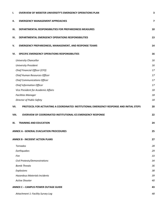| Ι.                                      | <b>OVERVIEW OF WEBSTER UNIVERSITY'S EMERGENCY OPERATIONS PLAN</b>                        | 3                       |
|-----------------------------------------|------------------------------------------------------------------------------------------|-------------------------|
| н.                                      | <b>EMERGENCY MANAGEMENT APPROACHES</b>                                                   | $\overline{\mathbf{z}}$ |
| Ш.                                      | DEPARTMENTAL RESPONSIBILITIES FOR PREPAREDNESS MEASURES                                  | 10                      |
| IV.                                     | DEPARTMENTAL EMERGENCY OPERATIONS RESPONSIBILITIES                                       | 13                      |
| v.                                      | <b>EMERGENCY PREPAREDNESS, MANAGEMENT, AND RESPONSE TEAMS</b>                            | 14                      |
| VI.                                     | SPECIFIC EMERGENCY OPERATIONS RESPONSIBILITIES                                           | 16                      |
|                                         | University Chancellor                                                                    | 16                      |
|                                         | University President                                                                     | 16                      |
|                                         | Chief Financial Officer (CFO)                                                            | 17                      |
|                                         | Chief Human Resources Officer                                                            | 17                      |
|                                         | <b>Chief Communications Officer</b>                                                      | 17                      |
|                                         | Chief Information Officer                                                                | 17                      |
|                                         | Vice President for Academic Affairs                                                      | 18                      |
|                                         | <b>Facilities Manager</b>                                                                | 18                      |
|                                         | Director of Public Safety                                                                | 18                      |
| VII.                                    | PROTOCOL FOR ACTIVATING A COORDINATED INSTITUTIONAL EMERGENCY RESPONSE AND INITIAL STEPS | 20                      |
| VIII.                                   | <b>OVERVIEW OF COORDINATED INSTITUTIONAL ICS EMERGENCY RESPONSE</b>                      | 22                      |
| IX.                                     | <b>TRAINING AND EDUCATION</b>                                                            | 24                      |
| ANNEX A - GENERAL EVACUATION PROCEDURES |                                                                                          | 25                      |
|                                         | <b>ANNEX B - INCIDENT ACTION PLANS</b>                                                   | 27                      |
|                                         | <b>Tornados</b>                                                                          | 28                      |
|                                         | Earthquakes                                                                              | 29                      |
|                                         | Fire                                                                                     | 33                      |
|                                         | Civil Protests/Demonstrations                                                            | 34                      |
|                                         | <b>Bomb Threats</b>                                                                      | 36                      |
|                                         | Explosions                                                                               | 38                      |
|                                         |                                                                                          |                         |
|                                         | <b>Hazardous Materials Incidents</b>                                                     | 39                      |
|                                         | Active Shooter                                                                           | 40                      |
|                                         | <b>ANNEX C - CAMPUS POWER OUTAGE GUIDE</b>                                               | 43                      |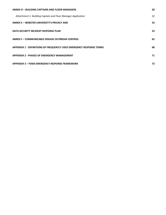| ANNEX D - BUILDING CAPTAINS AND FLOOR MANAGERS                              |    |
|-----------------------------------------------------------------------------|----|
| Attachment 1: Building Captain and Floor Manager Application                | 52 |
| ANNEX E – WEBSTER UNIVERSITY'S PRIVACY AND                                  | 53 |
| DATA SECURITY INCIDENT RESPONSE PLAN                                        | 53 |
| <b>ANNEX F - COMMUNICABLE DISEASE OUTBREAK CONTROL</b>                      | 62 |
| <b>APPENDIX 1 - DEFINITIONS OF FREQUENTLY USED EMERGENCY RESPONSE TERMS</b> | 68 |
| <b>APPENDIX 2 - PHASES OF EMERGENCY MANAGEMENT</b>                          | 71 |
| <b>APPENDIX 3 – FEMA EMERGENCY RESPONSE FRAMEWORK</b>                       | 72 |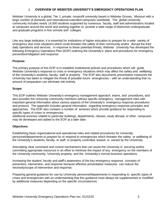### **I. OVERVIEW OF WEBSTER UNIVERSITY'S EMERGENCY OPERATIONS PLAN**

<span id="page-4-0"></span>Webster University is a global, Tier 1, private, nonprofit university based in Webster Groves, Missouri with a large number of domestic and international extended campuses worldwide. The global University community includes nearly 14,000 students supported by numerous faculty, staff and administrators located at campuses around the world and working together to provide a wide range of distinctive undergraduate and graduate programs in five schools and colleges.

Like any large institution, it is essential for institutions of higher education to prepare for a wide variety of emergency and crisis situations which could threaten the safety of their community and/or disrupt the their daily operations and services. In response to these potential threats, Webster University has developed the following Emergency Operations Plan (EOP) outlining the University's plans and procedures for emergency prevention/mitigation and response.

### **Purpose:**

The primary purpose of this EOP is to establish institutional policies and procedures which will guide Webster University's response to crisis or emergency situations which may affect the safety and wellbeing of the University's students, faculty, staff or property. The EOP also documents preventative measures the University has taken to mitigate the threat of possible future emergencies – with an understanding that no amount of preparation can eliminate risk entirely.

#### **Scope:**

This EOP outlines Webster University's emergency management approach, teams, and procedures, and also provides the University community members without specific emergency management roles with important general information about various aspects of the University's emergency response procedures and protocol. The appendix includes general information regarding emergency response principles and approaches. The EOP also contains a number of annexes which provide guidance for responding to specific types of crises or emergencies.

Additional annexes related to particular buildings, departments, classes, study abroad, or other campuses may be developed and added to the EOP at a later date.

### **Objectives:**

Establishing basic organizational and operational roles and related procedures for University personnel/departments to prepare for or respond to emergencies which threaten the safety or wellbeing of the University's students, faculty, or staff, or property controlled, leased, or owned by the University.

Articulating clear command and control mechanisms that can assist the University in securing and/or committing appropriate resources in an effort to minimize the impact of any emergency on the members of the University community, University property, and the University's normal business operations.

Increasing the student, faculty and staff's awareness of the key emergency response concepts of prevention, intervention, and response because effective preventative measures can reduce the necessity/scope of intervention and response.

Preparing general guidance for use by University personnel/departments in responding to specific types of crises and emergencies with an understanding that this guidance must always be supplemented or modified by additional measures depending on the specific circumstances.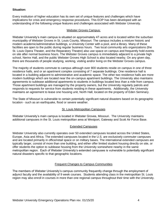### **Situation:**

Every institution of higher education has its own set of unique features and challenges which have implications for crisis and emergency response procedures. This EOP has been developed with an understanding of the following unique features and challenges associated with Webster University.

### Webster Groves Campus:

Webster University's main campus is situated on approximately 47-acres and is located within the suburban municipality of Webster Groves in St. Louis County, Missouri. The campus includes a mixture historic and modern academic/administrative buildings, a University Center with a pool, and a library. Many of these facilities are open to the public during regular business hours. Two local community arts organizations (the St. Louis Opera Theater, and the Reparatory Theatre) also use space on campus and frequently hold events on site after normal business hours. The Webster Groves campus is immediately adjacent to a private high school, Nerinx Hall, and the public Webster Groves High School is also located nearby. On any given day, there are thousands of people studying, working, visiting and/or living on the Webster Groves campus.

The majority of students commute to campus although over 800 students reside on campus in one of three residence halls, and or an apartment complex consisting of 7 separate buildings. One residence hall is located in a building adjacent to administrative and academic space. The other two residence halls are more modern buildings which are located near the on-campus apartment buildings. The University also maintains agreements to sublease additional apartments to students in buildings located less than a mile from campus. Those apartment buildings are managed by the property owners, but the University regularly patrols and responds to requests for service from students residing in these apartments. Additionally, the University maintains an agreement to lease one housing unit, North Hall, located on the property of Eden Seminary.

The State of Missouri is vulnerable to certain potentially significant natural disasters based on its geographic location - such as an earthquake, flood or severe weather.

### St. Louis Metropolitan Campuses

Webster University's main campus is located in Webster Groves, Missouri. The University maintains additional campuses in the St. Louis metropolitan area at Westport, Gateway and Scott Air Force Base.

#### Extended Campuses

Webster University also currently operates over 50 extended campuses located across the United States, Europe, Asia and Africa. The extended campuses located in the U.S. are exclusively commuter campuses and are located primarily in office/retail space or on military bases. The international extended campuses are typically larger, consist of more than one building, and either offer limited student housing directly on site, or offer students the option to sublease housing from the University somewhere nearby in the same metropolitan region. Each of Webster University's extended campuses is vulnerable to potentially significant natural disasters specific to that geographic locations.

### Frequent Changes to Campus Communities

The members of Webster University's campus community frequently change through the employment of adjunct faculty and the availability of 9 week courses. Students attending class in the metropolitan St. Louis region may also enroll in courses in more than one regional campus throughout their time with the University.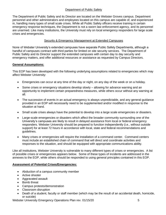### Department of Public Safety

The Department of Public Safety and its Director are located on the Webster Groves campus. Department personnel and other administrators and employees located on this campus are capable of, and experienced in, handling many types of small scale crises. While all Public Safety officers receive training in certain emergency response techniques, the Department is not a sworn law enforcement agency, and its personnel are unarmed. Like many institutions, the University must rely on local emergency responders for large scale crises and emergencies.

### Security & Emergency Management at Extended Campuses

None of Webster University's extended campuses have separate Public Safety Departments, although a handful of campuses contract with third parties for limited on site security services. The Department of Public Safety and its Director support the extended campuses with certain day to day security and emergency matters, and offer additional resources or assistance as requested by Campus Directors.

### **General Assumptions:**

This EOP has been developed with the following underlying assumptions related to emergencies which may affect Webster University:

- Emergencies can occur at any time of the day or night, on any day of the week or on a holiday.
- Some crises or emergency situations develop slowly allowing for advance warning and an opportunity to implement certain preparedness measures, while others occur without any warning at all.
- The succession of events in an actual emergency is always unpredictable, and any general guidance provided in an EOP will necessarily need to be supplemented and/or modified in response to the situation at hand.
- Small scale crises always have the potential to develop into a large scale emergencies or disasters.
- Large-scale emergencies or disasters which affect the broader community surrounding one of the University's campuses are likely to result in delayed assistance from local or federal emergency responders. Webster University should be prepared to function independently (i.e., without outside support) for at least 72 hours in accordance with local, state and federal recommendations and guidelines.
- Many crises or emergencies will require the installation of a command center. Command centers must include an established chain of command that will direct and coordinate activities and responses to the situation, and should be equipped with appropriate communications ability.

Like all institutions, Webster University is vulnerable to many different types of crises or emergencies. A list of possible crises or emergencies appears below. Some of these types of incidents are addressed in the annexes to the EOP, while others should be responded to using general principles contained in this EOP.

### **Assessment of Potential Crises/Emergencies:**

- Abduction of a campus community member
- Active shooter
- Aggravated assault
- Bomb threat
- Campus protests/demonstration
- Classroom disruption
- Death of a student, faculty or staff member (which may be the result of an accidental death, homicide, or suicide)

Webster University Emergency Operations Plan rev. 01/15/20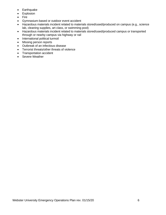- Earthquake
- Explosion
- Fire
- Gymnasium-based or outdoor event accident
- Hazardous materials incident related to materials stored/used/produced on campus (e.g., science lab, cleaning supplies, art class, or swimming pool)
- Hazardous materials incident related to materials stored/used/produced campus or transported through or nearby campus via highway or rail
- International political turmoil
- Missing person reports
- Outbreak of an infectious disease
- Terrorist threats/other threats of violence
- Transportation accident
- Severe Weather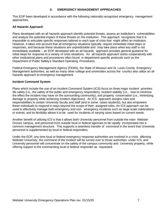#### **II. EMERGENCY MANAGEMENT APPROACHES**

<span id="page-8-0"></span>This EOP been developed in accordance with the following nationally recognized emergency management approaches.

#### **All Hazards Approach**

Plans developed with an all hazards approach identify potential threats, assess an institution's vulnerabilities and analyze the potential impact of these threats on the institution. This approach recognizes that it is impossible to articulate specific responses tailored to each type of crisis that might affect an institution. However, it takes into account that all emergency situations typically require immediate initial steps or responses, and because these situations are unpredictable and may take place when key staff is not immediately available – an EOP developed with an all hazards approach provides general guidance for initial steps for response to a variety of crisis situations. An all hazards approach works cooperatively with other institutional plans and procedures often found in department-specific protocols such as the Department of Public Safety's Standard Operating Procedures.

Federal Emergency Management Agency (FEMA), the State of Missouri and St. Louis County Emergency Management authorities, as well as many other college and universities across the country also utilize an all hazards approach to emergency management.

#### **Incident Command System**

Plans which include the use of an Incident Command System (ICS) focus on three major incident priorities: life safety (i.e., the safety of the public and emergency responders), incident stability (i.e., how to minimize the effect the incident may have on the surrounding community), and property conservation (i.e., minimizing damage to property while achieving incident objectives). An ICS approach assigns roles and responsibilities to certain University faculty and staff (and in some cases students), but also empowers these individuals to respond in ways beyond the scope of their assigned roles. An ICS approach can be used to effectively manage both emergency and non- emergency incidents such as large scale celebrations or events, and its flexibility allows it to be used for incidents of varying sizes based on current needs.

Another benefit of utilizing ICS is that it allows both University personnel from outside the main Webster Groves campus, and personnel from outside local or federal agencies to be rapidly incorporated into a common management structure. This supports a seamless transfer of command in the event that University personnel is supplemented by local or federal responders.

Under the EOP, any time local or federal emergency response authorities are involved in a crisis affecting Webster University, the command of the incident will be turned over to those authorities under ICS, and University personnel will concentrate on the safety of the campus community and University property, while offering support to the commanding local or federal responder as requested.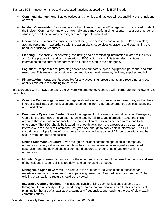Standard ICS management titles and associated functions adopted by this EOP include:

- **Command/Management:** Sets objectives and priorities and has overall responsibility at the incident or event.
- **Incident Commander:** Responsible for all functions of Command/Management. In a limited incident, the Incident Commander and one or two individuals may perform all functions. In a larger emergency situation, each function may be assigned to a separate individual.
- **Operations:** Primarily responsible for developing the operations portion of the EOC action plan; assigns personnel in accordance with the action plans; supervises operations and determining the need for additional resources.
- **Planning:** Responsible for collecting, evaluating and disseminating information related to the crisis and for the preparation and documentation of EOC action plans. This team also maintains information on the current and forecasted situation related to the emergency.
- **Logistics:** Responsible for providing service and support, supplies, equipment, personnel and other resources. This team is responsible for communication, maintenance, facilities, supplies and HR.
- **Finance/Administration:** Responsible for any accounting, procurement, time recording, and cost analysis related to responding to the crisis.

In accordance with an ICS approach, the University's emergency response will incorporate the following ICS principles:

- **Common Terminology:** is used for organizational elements, position titles, resources, and facilities in order to facilitate communication among personnel from different emergency services, agencies, and jurisdictions.
- **Emergency Operations Center:** Overall management of the event is centralized in an Emergency Operations Center (EOC) in an effort to bring together all relevant information about the crisis, organize that information and facilitate the coordination of resources needed to respond to the emergency. The EOC should be located far enough away from the affected area so as not to interfere with the Incident Command Post yet close enough to easily obtain information. The EOC should have multiple forms of communication available, be capable of 24 hour operations and be secure from unauthorized access.
- **Unified Command Structure:** Even though an incident command operation is a temporary organization, every individual with a role in the command operation is assigned a designated supervisor, and the defined chain of command ensures an orderly line of authority within the organization.
- **Modular Organization:** Organization of the emergency response will be based on the type and size of the incident. Responsibility is top down and can expand as needed.
- **Manageable Span of Control:** This refers to the number of individuals one supervisor can realistically manage. If a supervisor is supervising fewer than 3 subordinates or more than 7, the existing organization structure should be reviewed.
- **Integrated Communications:** This includes synchronizing communications systems used throughout the university/college; interfacing disparate communications as effectively as possible; planning for the use of all available systems and frequencies; and requiring the use of clear text in communications.

Webster University Emergency Operations Plan rev. 01/15/20 8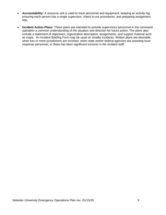- **Accountability:** A resource unit is used to track personnel and equipment, keeping an activity log, ensuring each person has a single supervisor, check in-out procedures, and preparing assignment lists.
- **Incident Action Plans:** These plans are intended to provide supervisory personnel in the command operation a common understanding of the situation and direction for future action. The plans also include a statement of objectives, organization description, assignments, and support material such as maps. An Incident Briefing Form may be used on smaller incidents. Written plans are desirable when two or more jurisdictions are involved, when state and/or federal agencies are assisting local response personnel, or there has been significant turnover in the incident staff.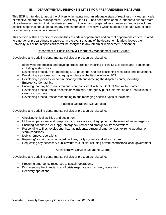### **III. DEPARTMENTAL RESPONSIBILITIES FOR PREPAREDNESS MEASURES**

<span id="page-11-0"></span>This EOP is intended to assist the University in maintaining an adequate state of readiness – a key principle of effective emergency management. Specifically, the EOP has been developed to support a two-fold state of readiness – meaning that it addresses broad mitigation and preparedness measures, and also includes specific steps that should be taken any time information is received which suggests a certain type of crisis or emergency situation is imminent.

This section outlines specific responsibilities of certain departments and current department leaders related to emergency preparedness measures. In the event that any of the department leaders leaves the University, his or her responsibilities will be assigned to any interim or replacement personnel.

#### Department of Public Safety & Emergency Management (Rick Gerger)

Developing and updating departmental policies or procedures related to:

- Identifying the process and develop procedures for checking critical DPS facilities and equipment; including system tests.
- Developing procedure for mobilizing DPS personnel and pre-positioning resources and equipment.
- Developing a process for managing incidents at the field level using ICS.
- Developing a process for communicating with and directing the dispatch center, including Emergency Contact list.
- Ensuring that any hazardous materials are consistent with the Dept. of Natural Resources.
- Developing procedures to disseminate warnings, emergency public information and instructions to campus community.
- Developing procedures for responding to and managing specific types of incidents.

### Facilities Operations (Gil Morales)

Developing and updating departmental policies or procedures related to:

- Checking critical facilities and equipment.
- Mobilizing personnel and pre-positioning resources and equipment in the event of an emergency.
- Ensuring adequate fuel supply, emergency power and emergency transportation;
- Responding to fires, explosions, hazmat incidents, structural emergencies, extreme weather or storm conditions.
- Debris removal operations.
- Repairing/restoring any damaged facilities, utility systems and infrastructure.
- Requesting any necessary public works mutual aid including private contractor's local government

### Administrative Services (Jeanene George)

Developing and updating departmental policies or procedures related to:

- Procuring emergency resources to sustain operations.
- Documenting the financial cost of crisis response and recovery operations.
- Recovery operations.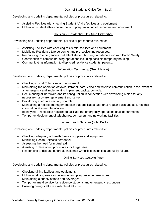### Dean of Students Office (John Buck)

Developing and updating departmental policies or procedures related to:

- Assisting Facilities with checking Student Affairs facilities and equipment.
- Mobilizing student affairs personnel and pre-positioning of resources and equipment.

### Housing & Residential Life (Anna Dickherber)

Developing and updating departmental policies or procedures related to:

- Assisting Facilities with checking residential facilities and equipment.
- Mobilizing Residence Life personnel and pre-positioning resources.
- Responding to emergencies that affect student housing in collaboration with Public Safety
- Coordination of campus housing operations including possible temporary housing.
- Communicating information to displaced residence students, parents.

### Information Technology (Greg Malone)

Developing and updating departmental policies or procedures related to:

- Checking critical IT facilities and equipment.
- Maintaining the operation of voice, intranet, data, video and wireless communication in the event of an emergency and implementing implement backup controls.
- Documenting all hardware and its configuration in connection with developing a plan for any necessary hardware replacement and setup.
- Developing adequate security controls.
- Maintaining a records management plan that duplicates data on a regular basis and secures this information at a remote location.
- Identifying IT resources required to facilitate the emergency operations of all departments.
- Temporary deployment of telephones, computers and networking facilities.

### Student Health Services (John Buck)

Developing and updating departmental policies or procedures related to:

- Checking adequacy of Health Service supplies and equipment.
- Mobilizing Health Services personnel.
- Assessing the need for mutual aid.
- Assisting in developing procedures for triage sites.
- Responding to disease outbreak, incidents w/multiple casualties and utility failure.

### Dining Services (Octavio Pino)

Developing and updating departmental policies or procedures related to:

- Checking dining facilities and equipment.
- Mobilizing dining services personnel and pre-positioning resources.
- Maintaining a supply of food and beverages.
- Temporary meal service for residence students and emergency responders.
- Ensuring dining staff are available at all times.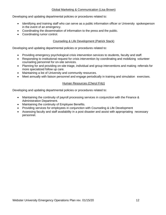### Global Marketing & Communication (Lisa Brown)

Developing and updating departmental policies or procedures related to:

- Identifying and training staff who can serve as a public information officer or University spokesperson in the event of an emergency.
- Coordinating the dissemination of information to the press and the public.
- Coordinating rumor control.

### Counseling & Life Development (Patrick Stack)

Developing and updating departmental policies or procedures related to:

- Providing emergency psychological crisis intervention services to students, faculty and staff.
- Responding to institutional request for crisis intervention by coordinating and mobilizing volunteer counseling personnel for on-site services.
- Planning for and providing on-site triage, individual and group interventions and making referrals for more specialized follow up care.
- Maintaining a list of University and community resources.
- Meet annually with liaison personnel and engage periodically in training and simulation exercises.

#### Human Resources (Cheryl Fritz)

Developing and updating departmental policies or procedures related to:

- Maintaining the continuity of payroll processing services in conjunction with the Finance & Administration Department.
- Maintaining the continuity of Employee Benefits.
- Providing services for employees in conjunction with Counseling & Life Development
- Assessing faculty and staff availability in a post disaster and assist with appropriating necessary personnel.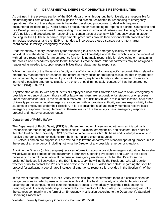### **IV. DEPARTMENTAL EMERGENCY OPERATIONS RESPONSIBILITIES**

<span id="page-14-0"></span>As outlined in the previous section of the EOP, departments throughout the University are responsible for maintaining their own official or unofficial policies and procedures related to responding to emergency operations. Many of these departments have also developed procedures to deal with frequently encountered incidents (e.g., Public Safety's procedures for responding to reports of a crime, Counseling and Life Development's procedures for responding to students in emotional distress, and Housing & Residential Life's policies and procedures for responding to certain types of events which frequently occur in student housing facilities.) These separate departmental procedures provide their personnel with procedures for immediate responses, and the EOP is intended to incorporate these disparate plans into a larger, coordinated University emergency response.

Understandably, primary responsibility for responding to a crisis or emergency initially rests with an individual from the department with the most appropriate knowledge and skillset, which is why the individual with primary responsibility for an emergency function is normally responsible for developing or maintaining the policies and procedures specific to that function. Personnel from other departments may be assigned or requested as needed to support responsibilities those departmental responses.

While the majority of the University's faculty and staff do not typically have specific responsibilities related to emergency management or response, the nature of many crises or emergencies is such that they are often first observed by or reported to faculty or staff. As such, any time a faculty or staff member observes or learns of a possible emergency situation, he or she should immediately contact DPS at the emergency number: (314) 968-6911.

Any time staff or faculty with any students or employees under their direction are aware of an emergency or possible emergency situation, those staff or faculty members are responsible for students or employees under their direction until: 1) the situation is resolved, 2) at risk individuals are in a safe location, or 3) other University personnel or local emergency responders with appropriate authority assume responsibility to the students or employees under their direction. It is essential that staff and faculty members receive basic emergency response training, familiarize themselves with the University's basic emergency response protocol and nearby evacuation routes.

#### **Department of Public Safety**

The Department of Public Safety (DPS) is different from other University departments as it is primarily responsible for monitoring and responding to critical incidents, emergencies, and disasters that affect or threaten to affect the University. DPS operates on a continuous 24/7/365 basis and is always available to receive emergency communications from both internal and external sources.

DPS officers and on call supervisors are trained to follow the department's standard operating procedures in the event of an emergency, including notifying the Director of any possible emergency situations.

Any time the Director (or his designee) receives information about a possible emergency situation, he or she will activate select portions of the department's Standard Operating Procedures and EOP to the extent necessary to control the situation. If the crisis or emergency escalates such that the Director (or his designee) believes full activation of the EOP is necessary, he will notify the President, who will decide whether or not to contact the President and activate the full EOP. Additional details regarding the specific protocol for activating a coordinated institutional emergency response is provided in the Section VII of the EOP.

In the event that the Director of Public Safety (or his designee) confirms that there is a critical incident or dangerous situation which poses an immediate threat to the health or safety of students, faculty or staff occurring on the campus, he will take the necessary steps to immediately notify the President (or his designee) and University leadership. Concurrently, the Director of Public Safety (or his designee) will notify the campus community in the form of an Emergency Notification according to the Department's Standard Operating Procedures.

Webster University Emergency Operations Plan rev. 01/15/20 13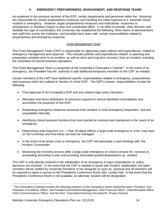### **V. EMERGENCY PREPAREDNESS, MANAGEMENT, AND RESPONSE TEAMS**

<span id="page-15-0"></span>As explained in the previous sections of the EOP, certain departments and personnel within the University are responsible for certain preparedness measures and handling the initial response to a potential critical incident or emergency. However, larger preparedness measures and institutional responses to emergencies or disasters require a clear and coordinated effort. In an effort to provide clear direction and facilitate this type of coordination, the University has established the following three teams of administrators and staff from across the institution, and provided each team with certain responsibilities related to preparedness and emergency response.

### Crisis Management Team

The Crisis Management Team (CMT) is responsible for approving major policies and expenditures related to emergency management and response. This includes policies and expenditures related to planning and preparation activities prior to an incident, as well as short and long term recovery from an incident, including the restoration of normal business operations.

The Crisis Management Team is comprised of the University's Chancellor's Cabinet.<sup>1</sup> In the event of an emergency, the President has the authority to add additional temporary members to the CMT as needed.

Certain members of the CMT have additional specific responsibilities related to emergency preparedness and response which are outlined in Section VI of the EOP. The CMT's shared responsibilities include the following:

- Final approval of the University's EOP and any related major policy decisions.
- Allocation and direct distribution of resources required to reduce identified vulnerabilities and accomplish the purposes of this EOP.
- Requesting emergency response resources from vendors or local emergency responders that are unavailable internally.
- Identifying critical business functions that must quickly be restored and maintained in the event of an emergency.
- Determining what long-term (i.e.,  $>$  than 30 days) effects a large scale emergency or crisis may have on the University and how these can best be managed.
- In the event of an active crisis or emergency, the CMT will participate in joint briefings with the Incident Commander.
- Monitoring the recovery process after a large scale emergency or crisis to ensure the recovery is proceeding according to plan and providing associated guidance/assistance as needed.

The CMT is only directly involved in the stabilization of an emergency if major expenditures or policy decisions are involved. In the event that the CMT is needed to assist with incident stabilization, the team members will be notified by University President or her designee as soon as practical and all members will be required to report in person to the President's Conference Room 360, Loretto Hall. In the event that the President's Conference Room is not available, an alternate location will be designated.

 $1$  The Chancellor's Cabinet includes the following members of the University's senior leadership team: President, Vice President of Academic Affairs, Vice President of Enrollment Management, Chief Financial Officer, Chief Information Officer, Chief Communications Officer, and the Asst. Chancellor/University Secretary/Sr. Privacy Director.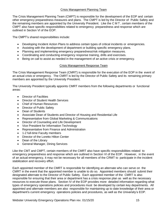### Crisis Management Planning Team

The Crisis Management Planning Team (CMPT) is responsible for the development of the EOP and certain other emergency preparedness measures and plans. The CMPT is led by the Director of Public Safety and the remaining members are appointed by the University President. Like the C M T , certain members of the CMPT also have specific responsibilities related to emergency preparedness and response which are outlined in Section VI of the EOP.

The CMPT's shared responsibilities include:

- Developing Incident Action Plans to address certain types of critical incidents or emergencies.
- Assisting with the development of department or building specific emergency plans.
- Planning and implementing emergency preparedness/risk mitigation measures.
- Coordinating and conducting emergency response training, drills and exercises.
- Being on call to assist as needed in the management of an active crisis or emergency.

### Crisis Management Response Team

The Crisis Management Response Team (CMRT) is responsible for the execution of the EOP in the event of an actual crisis or emergency. The CMRT is led by the Director of Public Safety and its remaining primary members are appointed by the University President.

The University President typically appoints CMRT members from the following departments or functional areas:

- Director of Facilities
- Director of Student Health Services
- Chief of Human Resources
- Director of Public Safety
- Dean of Students
- Associate Dean of Students and Director of Housing and Residential Life
- Representative from Global Marketing & Communications
- Director of Counseling and Life Development
- Vice President for Information Technology
- Representative from Finance and Administration
- 1-2 full-time Faculty members
- Director of the Loretto Hilton Center
- Dean of the Library
- General Manager, Dining Services

Like the CMT and CMPT, certain members of the CMRT also have specific responsibilities related to emergency preparedness and response which are outlined in Section VI of the EOP. However, in the event of an actual emergency, it may not be necessary for all members of the CRMT to participate in the incident stabilization and recovery effort.

Each appointed member of the CMRT is responsible for identifying an alternate who can serve on the CMRT in the event that the appointed member is unable to do so. Appointed members should submit their designated alternate to the Director of Public Safety. Each appointed member of the CMRT is also responsible for ensuring that their area or department has a crisis response plan as well as the necessary resources to execute those plans. Section IV of the EOP provides more detailed information regarding what types of emergency operations policies and procedures must be developed by certain key departments. All appointed and alternate members are also responsible for maintaining up to date knowledge of their area or department's current emergency operations policies and procedures, as well as the University's EOP.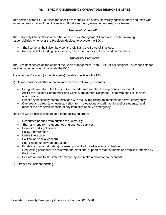### **VI. SPECIFIC EMERGENCY OPERATIONS RESPONSIBILITIES**

<span id="page-17-0"></span>This section of the EOP outlines the specific responsibilities of key University administrators and staff who serve on one or more of the University's official emergency management/response teams.

#### *University Chancellor*

<span id="page-17-1"></span>The University Chancellor is a member of the Crisis Management Team and has the following responsibilities whenever the President decides to activate the EOC,

- Shall serve as the liaison between the CMT and the Board of Trustees.
- Responsible for leading necessary high level community outreach and partnerships.

#### *University President*

<span id="page-17-2"></span>The President serves as the chair of the Crisis Management Team. He (or his designee) is responsible for deciding whether or not to activate the EOC.

Any time the President (or his designee) decides to activate the EOC,

- 1) He will consider whether or not to implement the following measures:
	- Designate and direct the Incident Commander to assemble the appropriate personnel.
	- Assist the Incident Commander and Crisis Management Response Team with specific incident action plans.
	- Direct any necessary communications with faculty regarding an imminent or active emergency.
	- Oversee and direct any necessary short term relocations of staff, faculty and/or students, and monitor the academic impacts of any imminent or active emergency.

Lead the CMT's discussions related to the following areas:

- Resources needed from outside the University
- Short and long term student housing and food services
- Financial and legal issues
- Policy interpretation
- Media interaction
- Political and social concern
- Prioritization of salvage operations
- Establishing a target date(s) for resumption of a limited academic schedule
- Requesting personnel to assist with the emotional support of staff, students and families affected by the incident.
- Declare an end to the state of emergency and make a public announcement
- 3) Order post-incident briefing.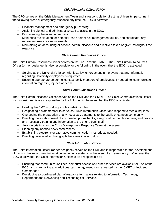### *Chief Financial Officer (CFO)*

<span id="page-18-0"></span>The CFO serves on the Crisis Management Team and is responsible for directing University personnel in the following areas of emergency response any time the EOC is activated:

- Financial management and emergency purchasing.
- Assigning clerical and administrative staff to assist in the EOC.
- Documenting the event in progress.
- Monitoring the situation for potential loss or other risk management duties, and coordinate any necessary insurance requirements.
- Maintaining an accounting of actions, communications and directives taken or given throughout the response.

### *Chief Human Resources Officer*

<span id="page-18-1"></span>The Chief Human Resources Officer serves on the CMT and the CMRT. The Chief Human Resources Officer (or her designee) is also responsible for the following in the event that the EOC is activated:

- Serving as the University's liaison with local law enforcement in the event that any information regarding University employees is requested.
- Ensuring appropriate personnel contact family members of employees, if needed, to communicate information regarding injuries or death.

### *Chief Communications Officer*

<span id="page-18-2"></span>The Chief Communications Officer serves on the CMT and the CMRT. The Chief Communications Officer (or his designee) is also responsible for the following in the event that the EOC is activated:

- Leading the CMT in drafting a public relations plan.
- Designating a staff member to serve as Public Information Officer and respond to media inquiries.
- Overseeing the preparation of any necessary statements to the public or campus community.
- Directing the establishment of any needed phone banks, assign staff to the phone bank, and provide any necessary training and information to the phone bank staff.
- Arrange briefings for the Crisis Management Response Team at the scene.
- Planning any needed news conferences.
- Establishing electronic or alternative communication methods as needed.
- Directing personnel to photograph the scene if safe to do so.

### *Chief Information Officer*

<span id="page-18-3"></span>The Chief Information Officer (or her designee) serves on the CMT and is responsible for the development of plans to backup current information technology systems in the event of an emergency. Whenever the EOC is activated, the Chief Information Officer is also responsible for:

- Ensuring that communication lines, computer access and other services are available for use at the EOC, and marshalling any additional technology resources requested by the CMRT or Incident Commander.
- Developing a coordinated plan of response for matters related to Information Technology Department and Networking and Technological Services.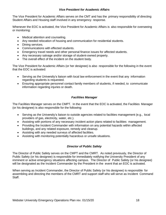### *Vice President for Academic Affairs*

<span id="page-19-0"></span>The Vice President for Academic Affairs serves on the CMT and has the primary responsibility of directing Student Affairs and Housing staff involved in any emergency response.

Whenever the EOC is activated, the Vice President for Academic Affairs is also responsible for overseeing or monitoring:

- Medical attention and counseling.
- Any needed relocation of housing and communication for residential students.
- Dining services.
- Communications with effected students.
- Emergency travel needs and other personal finance issues for affected students.
- Any necessary salvage and/or storage of student-owned property.
- The overall effect of the incident on the student body.

The Vice President for Academic Affairs (or her designee) is also responsible for the following in the event that the EOC is activated:

- Serving as the University's liaison with local law enforcement in the event that any information regarding students is requested.
- Ensuring appropriate personnel contact family members of students, if needed, to communicate information regarding injuries or death.

### *Facilities Manager*

<span id="page-19-1"></span>The Facilities Manager serves on the CMPT. In the event that the EOC is activated, the Facilities Manager (or his designee) is also responsible for the following:

- Serving as the University's liaison to outside agencies related to facilities management (e.g., local providers of gas, electricity, water, etc.).
- Assisting with portions of any necessary incident action plans related to facilities management.
- Providing the Incident Commander with information on any potential hazards within affected buildings, and any related exposure, remedy and cleanup.
- Assisting with any needed surveys of affected facilities.
- Assisting with monitoring potentially hazardous or unsafe situations.

### *Director of Public Safety*

<span id="page-19-2"></span>The Director of Public Safety serves on the CMPT and the CMRT. As noted previously, the Director of Public Safety (or his designee) is responsible for immediately notifying the University President of any imminent or active emergency situations affecting campus. The Director of Public Safety (or his designee) will be designated as the Incident Commander by the President in the event that an EOC is activated.

When serving as Incident Commander, the Director of Public Safety (or his designee) is responsible for assembling and directing the members of the CMRT and support staff who will serve as Incident Command Staff.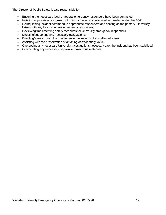The Director of Public Safety is also responsible for:

- Ensuring the necessary local or federal emergency responders have been contacted.
- Initiating appropriate response protocols for University personnel as needed under the EOP.
- Relinguishing incident command to appropriate responders and serving as the primary University liaison with any local or federal emergency responders.
- Reviewing/implementing safety measures for University emergency responders.
- Directing/supporting any necessary evacuations,
- Directing/assisting with the maintenance the security of any affected areas.
- Assisting with the preservation of anything of evidentiary value.
- Overseeing any necessary University investigations necessary after the incident has been stabilized.
- Coordinating any necessary disposal of hazardous materials.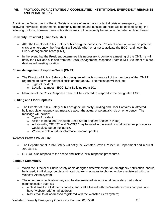#### <span id="page-21-0"></span>**VII. PROTOCOL FOR ACTIVATING A COORDINATED INSTITUTIONAL EMERGENCY RESPONSE AND INITIAL STEPS**

Any time the Department of Public Safety is aware of an actual or potential crisis or emergency, the following individuals, departments, community members and outside agencies will be notified, using the following protocol, however these notifications may not necessarily be made in the order outlined below:

#### **University President (Julian Schuster)**

- After the Director of Public Safety or his designee notifies the President about an active or potential crisis or emergency, the President will decide whether or not to activate the EOC, and notify the Crisis Management Team (CMT).
- In the event that the President determines it is necessary to convene a meeting of the CMT, he will notify the CMT and a liaison from the Crisis Management Response Team (CMRT) to meet at a predesignated meeting location.

#### **Crisis Management Response Team (CMRT)**

- The Director of Public Safety or his designee will notify some or all of the members of the CMRT regarding an active or potential crisis or emergency. The message will include:
	- o Type of Incident
	- o Location to meet EOC, Luhr Building room 101
- Members of the Crisis Response Team will be directed to respond to the designated EOC.

#### **Building and Floor Captains**

- The Director of Public Safety or his designee will notify Building and Floor Captains in affected buildings via emergency text message about the actual or potential crisis or emergency. The message will include:
	- o Type of Incident
	- o Action to be taken (Evacuate, Seek Storm Shelter; Shelter in Place)
	- o Additionally, "GO TO" and "AVOID "may be used in the event normal response procedures would place personnel at risk.
	- o Where to obtain further information and/or updates

#### **Webster Groves Police/Fire**

- The Department of Public Safety will notify the Webster Groves Police/Fire Department and request assistance.
- DPS will also respond to the scene and initiate initial response procedures.

#### **Campus Community**

- When the Director of Public Safety or his designee determines that an emergency notification should be issued, it will always be disseminated via text messages to phone numbers registered with the Webster Alerts system.
- The emergency notification may also be disseminated via additional, secondary methods of communication such as:
	- $\circ$  a blast email to all students, faculty, and staff affiliated with the Webster Groves campus who have "webster.edu" email address;
	- o blast email to all addressed registered with the Webster Alerts system;

Webster University Emergency Operations Plan rev. 01/15/20 **20** 20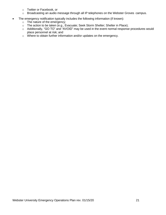- o Twitter or Facebook, or
- o Broadcasting an audio message through all IP telephones on the Webster Groves campus.
- The emergency notification typically includes the following information (if known):
	- o The nature of the emergency;
	- o The action to be taken (e.g., Evacuate; Seek Storm Shelter; Shelter in Place);
	- o Additionally, "GO TO" and "AVOID" may be used in the event normal response procedures would place personnel at risk; and
	- o Where to obtain further information and/or updates on the emergency.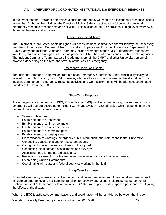<span id="page-23-0"></span>In the event that the President determines a crisis or emergency will require an institutional response lasting longer than 24 hours, he will direct the Director of Public Safety to activate the following institutional emergency response mechanisms and activities. This section of the EOP provides a high level overview of those mechanisms and activities.

### Incident Command Team

The Director of Public Safety or his designee will act as Incident Commander and will identify the necessary members of the Incident Command Team. In addition to personnel from the University's Department of Public Safety, the Incident Command Team may include members of the CMRT, emergency responders from local, state or federal agencies such as police, fire, EMS, hazmat teams and/or public health agencies. The Incident Command Team may also include members of the CMRT and other University personnel; however, depending on the type and severity of the crisis or emergency.

### Emergency Operations Center

The Incident Command Team will operate out of an Emergency Operations Center which is typically be located in the Luhr Building, room 101; however, alternate locations may be used at the discretion of the Incident Commander. Emergency response activities and work assignments will be planned, coordinated and delegated from the EOC.

### Short-Term Response

Any emergency responders (e.g., DPS, Police, Fire, or EMS) involved in responding to a serious crisis or emergency will operate according to Incident Command System (ICS) principles which depending on the nature of the emergency may include:

- Scene containment:
- Establishment of a "hot zone";
- Establishment of an inner perimeter;
- Establishment of an outer perimeter
- Establishment of a command post;
- Establishment of a staging area;
- Dissemination of warnings, emergency public information, and instructions to the University;
- Conducting evacuations and/or rescue operations;
- Caring for displaced persons and treating the injured;
- Conducting initial damage assessments and surveys;
- Assessing need for mutual aid assistance;
- Restricting movement of traffic/people and unnecessary access to affected areas;
- Establishing Unified Commands;
- Coordinating with state and federal agencies working in the field.

#### Long-Term Response

Extended emergency operations involve the coordination and management of personnel and resources to mitigate an emergency and facilitate the transition to recovery operations. Field response personnel will continue to use ICS to manage field operations. EOC staff will support field response personnel in mitigating the effects of the disaster.

When the EOC is activated, communications and coordination will be established between the Incident

Webster University Emergency Operations Plan rev. 01/15/20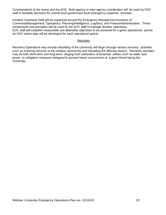Commander(s) at the scene and the EOC. Multi-agency or inter-agency coordination will be used by EOC staff to facilitate decisions for overall local government level emergency response activities.

Incident Command Staff will be organized around the Emergency Management functions of Command/Management, Operations, Planning/Intelligence, Logistics, and Finance/Administration. These components and principles will be used by the EOC staff to manage disaster operations. EOC staff will establish measurable and attainable objectives to be achieved for a given operational period. An EOC action plan will be developed for each operational period.

#### Recovery

Recovery Operations may include rebuilding of the University will begin through various recovery activities such as restoring services to the campus community and rebuilding the affected area(s). Recovery activities may be both short-term and long-term, ranging from restoration of essential utilities such as water and power, to mitigation measures designed to prevent future occurrences of a given threat facing the University.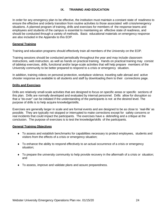### **IX. TRAINING AND EDUCATION**

<span id="page-25-0"></span>In order for any emergency plan to be effective, the institution must maintain a constant state of readiness to ensure the effective and orderly transition from routine activities to those associated with crisis/emergency situations. A planned program of training, drills and exercises for members of the response teams and employees and students of the campus is essential to maintaining an effective state of readiness, and should be conducted through a variety of methods. Basic educational materials on emergency response are also included in the Appendix to this EOP.

#### **General Training**

Training and education programs should effectively train all members of the University on the EOP.

Training sessions should be conducted periodically throughout the year and may include classroom instructions, web instruction, as well as hands on practical training. Hands on practical training may consist of tabletop exercises, drills, functional and/or large-scale activities that will help prepare members of the University community to be better prepared to respond to a crisis or emergency situation.

In addition, training videos on personal protection, workplace violence, traveling safe abroad and active shooter response are available to all students and staff by downloading them to their connections page.

#### **Drills and Exercises**

Drills are relatively small-scale activities that are designed to focus on specific areas or specific sections of this plan. Drills are normally developed and evaluated by internal personnel. Drills allow for disruption so that a "do-over" can be initiated if the understanding of the participants is not at the desired level. The purpose of drills is to help acquire knowledge/skills.

Exercises are generally larger in scale and are formal events and are designed to be as close to 'real-life' as possible. They are typically not stopped or interrupted to make corrections except for safety concerns or real incidents that could impact the participants. The exercises have a debriefing and a critique at the conclusion. The purpose of exercises is to test the knowledge/skills of the participants.

#### **General Training Objectives**

- To assess and establish benchmarks for capabilities necessary to protect employees, students and visitors from the effects of a crisis or emergency situation;
- To enhance the ability to respond effectively to an actual occurrence of a crisis or emergency situation;
- To prepare the university community to help provide recovery in the aftermath of a crisis or situation; and
- To assess, improve and validate plans and assure preparedness.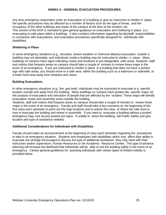#### **ANNEX A - GENERAL EVACUATION PROCEDURES**

<span id="page-26-0"></span>Any time emergency responders order an evacuation of a building or give an instruction to shelter in place, the specific procedures may be affected by a number of factors such as the type of threat, and the occupancy of the other buildings and areas of the campus at the time of the incident, etc. This section of the EOP is intended to give general guidance on evacuation and sheltering in place (i.e., evacuating to safe place within a building). It also contains information regarding faculty/staff responsibilities in connection with evacuations, and evacuation procedures specifically designed for individuals with disabilities.

#### **Sheltering in Place**

In some emergency situations (e.g., tornados, severe weather or chemical attacks) evacuation outside a building may not advisable, and individuals inside a building may be instructed to shelter i n place. Many buildings on campus have signs indicating routes and locations to pre-designated safe areas. Students, staff and visitors that frequent areas on campus should take a couple of minutes to review these maps in the event of an emergency. If you are instructed to shelter in place in a building that does not have a posted sign with safe areas, you should move to a safe area within the building such as a bathroom or stairwells, or a lower level area away from windows and doors.

#### **Building Evacuations**

In other emergency situations (e.g., fire, gas leak), individuals may be instructed to evacuate to a specific location outside and away from the building. Many buildings on campus have posted site specific maps, for the purpose of evacuation and relocation of people that are affected by the incident. These maps will identify evacuation routes and assembly areas outside the building.

Students, staff and visitors that frequent areas on campus should take a couple of minutes to review these maps in the event of an emergency. Faculty and staff should take a few moments at the beginning of the first class each semester to point out the map locations and to advise the class of where the safe area is, how to evacuate the building and where to assemble. If you need to evacuate a building without a posted emergency map, exit via any posted exit signs. If unable to leave the building, call Public Safety and give location and type of assistance needed.

#### **Additional Considerations for Individuals with Disabilities**

Faculty should make an announcement at the beginning of class each semester regarding the procedures to take in an emergency situation. Students and employees with disabilities which may affect their ability to evacuate are strongly encouraged to discuss the type of additional assistance they may need with their instructors and/or supervisors, Human Resources or the Academic Resource Cente**r.** This type of advance planning will increase the likelihood that individuals will be able to exit the building safely in the event of an emergency. Certain general guidelines for assisting individuals with certain types of limited mobility is provided below.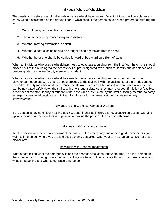#### Individuals Who Use Wheelchairs

The needs and preferences of individuals who use wheelchairs varies. Most individuals will be able to exit safely without assistance on the ground floor. Always consult the person as to his/her preference with regard to:

- 1. Ways of being removed from a wheelchair.
- 2. The number of people necessary for assistance.
- 3. Whether moving extremities is painful.
- 4. Whether a seat cushion should be brought along if removed from the chair.
- 5. Whether he or she should be carried forward or backward on a flight of stairs.

When an individual who uses a wheelchairs need to evacuate a building from the first floor, he or she should proceed out of the building via the nearest exit or pre-designated evacuation route with the assistance of a pre-designated co-worker faculty member or student.

When an individual who uses a wheelchair needs to evacuate a building from a higher floor, and the elevator cannot be used, he or she should proceed to the stairwell with the assistance of a pre- designated co-worker, faculty member or student. Once the stairwell clears and the individual who uses a wheelchair can be navigated safely down the stairs, with or without assistance, they may proceed. If this is not feasible, a member of the staff, faculty or student in the class will be instructed by the staff or faculty member to notify emergency personnel outside the building. Faculty should not leave a student alone *under any circumstances*.

#### Individuals Using Crutches, Canes or Walkers

If the person is having difficulty exiting quickly, treat him/her as if injured for evacuation purposes. Carrying options include two-person, lock arm position or having the person sit in a chair with arms.

#### Individuals with Visual Impairments

Tell the person with the visual impairment the nature of the emergency and offer to guide him/her. As you walk, tell the person where you are and advise of any obstacles. Offer your arm as guidance. Do not grasp his/her arm.

#### Individuals with Hearing Impairments

Write a note telling what the emergency is and the nearest evacuation route/safe area. Tap the person on the shoulder or turn the light switch on and off to gain attention. Then indicate through gestures or in writing what is happening and what to do. Escort the person.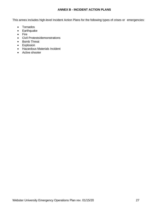### **ANNEX B - INCIDENT ACTION PLANS**

<span id="page-28-0"></span>This annex includes high-level Incident Action Plans for the following types of crises or emergencies:

- Tornados
- Earthquake
- Fire
- Civil Protests/demonstrations
- Bomb Threat
- Explosion
- Hazardous Materials Incident
- Active shooter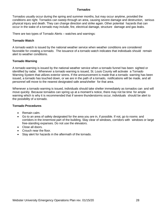#### *Tornados*

<span id="page-29-0"></span>Tornados usually occur during the spring and summer months, but may occur anytime, provided the conditions are right. Tornados can sweep through an area, causing severe damage and destruction, serious physical injury and death. They can change direction and strike again. Other potential hazards that can occur in the wake of a tornado may include, fire, electrical damage, structure damage and gas leaks.

There are two types of Tornado Alerts – watches and warnings:

#### **Tornado Watch**

A tornado watch is issued by the national weather service when weather conditions are considered favorable for creating a tornado. The issuance of a tornado watch indicates that individuals should remain alert to weather conditions.

### **Tornado Warning**

A tornado warning is issued by the national weather service when a tornado funnel has been sighted or identified by radar. Whenever a tornado warning is issued, St. Louis County will activate a Tornado Warning System that utilizes exterior sirens. If the announcement is made that a tornado warning has been issued, a tornado has touched down, or we are in the path of a tornado, notifications will be made, and all personnel will move to the nearest designated safe area/shelter for that area.

Whenever a tornado warning is issued, individuals should take shelter immediately as tornados can and will move quickly. Because tornados can spring up at a moment's notice, there may not be time for ample warning which is why it is recommended that if severe thunderstorms occur, individuals should be alert to the possibility of a tornado.

#### **Tornado Procedures**

- Remain calm.
- Go to an area of safety designated for the area you are in, if possible. If not, go to rooms and corridors in the innermost part of the building. Stay clear of windows, corridors with windows or large free-standing expanses. Do not use the elevators.
- Close all doors.
- Crouch near the floor.
- Stay alert for hazards in the aftermath of the tornado.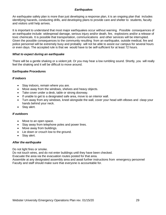#### *Earthquakes*

<span id="page-30-0"></span>An earthquake safety plan is more than just developing a response plan, it is an ongoing plan that includes identifying hazards, conducting drills, and developing plans to provide care and shelter to students, faculty and visitors until help arrives.

It is important to understand that most major earthquakes occur without warning. Possible consequences of an earthquake include: widespread damage, serious injury and/or death, fire, explosions and/or a release of toxic chemicals. It is possible that transportation, communications and other services will be interrupted. Given the possible consequences to the community resulting from an earthquake, outside medical, fire and police personnel will be extremely busy and probably will not be able to assist our campus for several hours or even days. The accepted rule is that we would have to be self-sufficient for at least 72 hours.

#### *What to expect during an earthquake*

There will be a gentle shaking or a violent jolt. Or you may hear a low rumbling sound. Shortly, you will really feel the shaking and it will be difficult to move around.

### **Earthquake Procedures**

#### *If indoors*

- Stay indoors, remain where you are.
- Move away from the windows, shelves and heavy objects.
- Take cover under a desk, table or strong doorway.
- If unable to get to a designated safe area, move to an interior wall.
- Turn away from any windows, kneel alongside the wall, cover your head with elbows and clasp your hands behind your neck.
- Stay alert.

#### *If outdoors*

- Move to an open space.
- Stay away from telephone poles and power lines.
- Move away from buildings.
- Lie down or crouch low to the ground.
- Stay alert.

#### *After the earthquake*

Do not light fires or smoke.

Do not touch wires, and do not enter buildings until they have been checked.

Evacuate the area via the evacuation routes posted for that area.

Assemble at any designated assembly area and await further instructions from emergency personnel Faculty and staff should make sure that everyone is accountable for.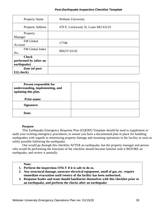### *Post-Earthquake Inspection Checklist Template*

| <b>Property Name</b>    | <b>Webster University</b>           |  |
|-------------------------|-------------------------------------|--|
| <b>Property Address</b> | 470 E. Lockwood, St. Louis MO 63119 |  |
| Property                |                                     |  |
| Manager                 |                                     |  |
| FM Global               | 17708                               |  |
| Account                 |                                     |  |
| FM Global Index         | 069237.03-02                        |  |
| No.                     |                                     |  |
| <b>Check</b>            |                                     |  |
| performed by (after an  |                                     |  |
| earthquake)             |                                     |  |
| Date (of post-          |                                     |  |
| EQ check)               |                                     |  |

| Person responsible for<br>understanding, implementing, and<br>updating this plan. |  |
|-----------------------------------------------------------------------------------|--|
| <b>Print name:</b>                                                                |  |
| Signature:                                                                        |  |
| Date:                                                                             |  |

### **Purpose**

This Earthquake Emergency Response Plan (EQERP) Template should be used to supplement or audit your existing emergency procedures, to ensure you have a documented plan in place for handling earthquakes with regards to minimizing property damage and resuming operations in the facility as soon as safely possible following the earthquake.

One would go through this checklist AFTER an earthquake, but the property manager and person who would be performing the functions of the checklist should become familiar with it BEFORE an earthquake, and review it annually.

#### **Note:**

- **1. Perform the inspections ONLY if it is safe to do so.**
- **2. Any structural damage, unsecure electrical equipment, smell of gas, etc. require immediate evacuation until reentry of the facility has been authorized.**
- **3. Response leader and team should familiarize themselves with this checklist prior to an earthquake, and perform the checks after an earthquake**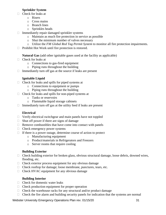### **Sprinkler System**

- $\Box$  Check for leaks at
	- o Risers
	- o Cross mains
	- o Branch lines
	- o Sprinkles heads
- $\Box$  Immediately repair damaged sprinkler systems
	- o Maintain as much fire protection in service as possible
	- o Shut the minimum number of valves necessary
	- o Utilize the *FM Global Red Tag Permit System* to monitor all fire protection impairments.
- $\Box$  Prohibit Hot Work until fire protection is restored.

**Natural Gas** (add other ignitable gases used at the facility as applicable)

- $\Box$  Check for leaks at
	- o Connections to gas-fired equipment
	- o Piping runs throughout the building
- $\Box$  Immediately turn off gas at the source if leaks are present

### **Ignitable Liquid**

- $\Box$  Check for leaks and spills for piped systems at
	- o Connections to equipment or pumps
	- o Piping runs throughout the building
- $\Box$  Check for leaks and spills for non-piped systems at
	- o Tanks or reservoirs
	- o Flammable liquid storage cabinets
- $\Box$  Immediately turn off gas at the utility feed if leaks are present

### **Electrical**

- $\Box$  Verify electrical switchgear and main panels have not toppled
- $\Box$  Shut off power if there are signs of damage
- $\Box$  Remove combustibles that have come into contact with panels
- $\Box$  Check emergency power systems
- $\Box$  If there is a power outage, determine course of action to protect
	- o Manufacturing equipment
	- o Product/materials in Refrigerators and Freezers
	- o Server rooms that require cooling

### **Building Exterior**

- $\Box$  Check building exterior for broken glass, obvious structural damage, loose debris, downed wires, flooding, etc.
- $\Box$  Check exterior process equipment for any obvious damage
- $\Box$  Check rooftop for damage; loose membrane, punctures, tears, etc.
- $\Box$  Check HVAC equipment for any obvious damage

### **Building Interior**

- $\Box$  Check for domestic water leaks
- $\Box$  Check production equipment for proper operation
- $\Box$  Check the warehouse racks for any structural and/or product damage
- $\Box$  Check the fire alarm and building security panels for indication that the systems are normal

Webster University Emergency Operations Plan rev. 01/15/20 **31** 31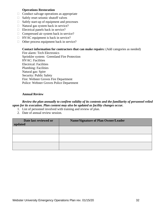### **Operations Restoration**

- $\Box$  Conduct salvage operations as appropriate
- $\Box$  Safely reset seismic shutoff valves
- $\Box$  Safely start-up of equipment and processes
- $\Box$  Natural gas system back in service?
- $\Box$  Electrical panels back in service?
- □ Compressed air system back in service?
- $\Box$  HVAC equipment is back in service?
- $\Box$  Other process equipment back in service?

### **Contact information for contractors that can make repairs:** (Add categories as needed)

Fire alarm: Tech Electronics Sprinkler system: Greenland Fire Protection HVAC: Facilities Electrical: Facilities Plumbing: Facilities Natural gas: Spire Security: Public Safety Fire: Webster Groves Fire Department Police: Webster Groves Police Department

### **Annual Review**

### *Review the plan annually to confirm validity of its contents and the familiarity of personnel relied upon for its execution. Plan content may also be updated as facility changes occur.*

- 1. List of personnel involved with training and review of plan.
- 2. Date of annual review session.

| Date last reviewed or<br>updated | <b>Name/Signature of Plan Owner/Leader</b> |
|----------------------------------|--------------------------------------------|
|                                  |                                            |
|                                  |                                            |
|                                  |                                            |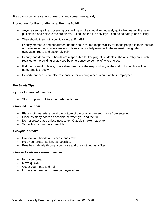#### *Fire*

<span id="page-34-0"></span>Fires can occur for a variety of reasons and spread very quickly.

#### **Procedures for Responding to a Fire in a Building:**

- Anyone seeing a fire, observing or smelling smoke should immediately go to the nearest fire alarm pull station and activate the fire alarm. Extinguish the fire only if you can do so safely and quickly.
- They should then notify public safety at Ext 6911.
- Faculty members and department heads shall assume responsibility for those people in their charge and evacuate their classrooms and offices in an orderly manner to the nearest designated evacuation route and assembly point.
- Faculty and department heads are responsible for keeping all students in the assembly area until recalled to the building or advised by emergency personnel of where to go.
- If students want to leave, or are dismissed, it is the responsibility of the instructor to obtain their name and log it down.
- Department heads are also responsible for keeping a head-count of their employees.

#### **Fire Safety Tips:**

#### *If your clothing catches fire:*

• Stop, drop and roll to extinguish the flames.

#### *If trapped in a room:*

- Place cloth material around the bottom of the door to prevent smoke from entering.
- Close as many doors as possible between you and the fire.
- Do not break glass unless necessary. Outside smoke may enter.
- Signal from a window if possible.

#### *If caught in smoke:*

- Drop to your hands and knees, and crawl.
- Hold your breath as long as possible.
- Breathe shallowly through your nose and use clothing as a filter.

#### *If forced to advance through flames:*

- Hold your breath.
- Move quickly.
- Cover your head and hair.
- Lower your head and close your eyes often.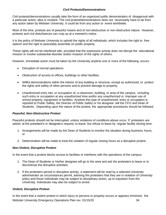### *Civil Protests/Demonstrations*

<span id="page-35-0"></span>Civil protests/demonstrations usually take the form of an organized public demonstration of disapproval with a particular action, idea or incident. The civil protest/demonstrations does not necessarily have to be from any action taken by Webster University. It could be from any action or event worldwide.

Most of the time, protests are of peaceful means and of non-destructive or non-obstructive nature. However, protests and civil disturbances can crop up at a moment's notice.

It is the policy of Webster University to uphold the rights of all individuals, which includes the right to free speech and the right to peaceably assemble on public property.

These rights will not be interfered with, provided that the expressive activity does not disrupt the educational mission or involve substantial disorder and/or invasion of the rights of others.

However, immediate action must be taken by the University anytime one or more of the following occurs:

- Disruption of normal operations.
- Obstruction of access to offices, buildings or other facilities.
- Willful demonstrations within the interior of any building or structure, except as authorized, to protect the rights and safety of other persons and to prevent damage to property.
- Unauthorized entry into, or occupation of, a classroom, building, or area of the campus, including such entry or occupation at any unauthorized time and/or any unauthorized or improper use of school property, equipment or facilities. Anytime this type of unauthorized entry or occupation is reported to Public Safety, the Director of Public Safety or his designee will the CFO and Dean of Students. Depending upon the nature of the protest, the appropriate procedures should be followed.

#### *Peaceful, Non-Obstructive Protest*

Peaceful protests should not be interrupted, unless violations of conditions above occur. If protesters are asked, at the president's or designee's request, to leave, but refuse to leave by regular facility closing time:

- 1. Arrangements will be made by the Dean of Students to monitor the situation during business hours, or
- 2. Determination will be made to treat the violation of regular closing hours as a disruptive protest.

#### *Non-Violent, Disruptive Protest*

In the event that a protest blocks access to facilities or interferes with the operations of the campus:

- 1. The Dean of Students or his/her designee will go to the area and ask the protesters to leave or to discontinue the disruptive activities.
- 2. If the protesters persist in disruptive activity, a statement will be read by a selected University administrator as circumstances permit, advising the protesters that they are in violation of University policy and those individuals may be subject to disciplinary action, up to expulsion from the University. Individuals may also be subject to arrest.

#### *Violent, Disruptive Protest*

Webster University Emergency Operations Plan rev. 01/15/20 34 In the event that a violent protest in which injury to persons or property occurs or appears imminent, the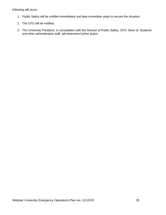following will occur:

- 1. Public Safety will be notified immediately and take immediate steps to secure the situation.
- 2. The CFO will be notified.
- 3. The University President, in consultation with the Director of Public Safety, CFO, Dean of Students and other administrative staff, will determine further action.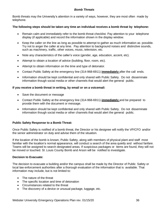# *Bomb Threats*

Bomb threats may the University's attention in a variety of ways, however, they are most often made by telephone.

#### **The following steps should be taken any time an individual receives a bomb threat by telephone:**

- Remain calm and immediately refer to the bomb threat checklist. Pay attention to your telephone display (if applicable) and record the information shown in the display window.
- Keep the caller on the line as long as possible to attempt to gather as much information as possible. Try not to anger the caller at any time. Pay attention to background noises and distinctive sounds, such as machinery, traffic, other voices, music, television, etc.
- Note any characteristics of the caller's voice (gender, age, education, accent, etc).
- Attempt to obtain a location of advice (building, floor, room, etc).
- Attempt to obtain information on the time and type of detonator.
- Contact Public Safety at the emergency line (314-968-6911) **immediately** after the call ends.
- Information should be kept confidential and only shared with Public Safety. Do not disseminate information though social media or other channels that would alert the general public.

#### **If you receive a bomb threat in writing, by email or on a voicemail:**

- Save the document or message
- Contact Public Safety at the emergency line (314-968-6911) **immediately** and be prepared to provide them with the document or message.
- Information should be kept confidential and only shared with Public Safety. Do not disseminate information though social media or other channels that would alert the general public.

## **Public Safety Response to a Bomb Threat:**

Once Public Safety is notified of a bomb threat, the Director or his designee will notify the VP/CFO and/or the senior administrator on duty and advise them of the situation.

If the location of the bomb is known, Public Safety, along with members of physical plant and staff most familiar with the location's normal appearance, will conduct a search of the area quietly and without fanfare. Teams will be assigned to search designated areas. If suspicious packages or items are found, they will not be moved or touched. St .Louis County Bomb and Arson will be notified to investigate.

#### **Decision to Evacuate:**

The decision to evacuate a building and/or the campus shall be made by the Director of Public Safety or local law enforcement authorities after a thorough evaluation of the information that is available. That information may include, but is not limited to:

- The nature of the threat
- The specific location and time of detonation
- Circumstances related to the threat
- The discovery of a device or unusual package, luggage, etc.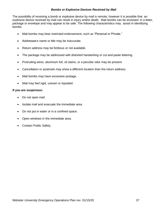## *Bombs or Explosive Devices Received by Mail*

The possibility of receiving a bomb or explosive device by mail is remote; however it is possible that an explosive device received by mail can result in injury and/or death. Mail bombs can be enclosed in a letter, package or envelope and may appear to be safe. The following characteristics may assist in identifying bombs:

- Mail bombs may bear restricted endorsement, such as "Personal or Private."
- Addressee's name or title may be inaccurate.
- Return address may be fictitious or not available.
- The package may be addressed with distorted handwriting or cut and-paste lettering.
- Protruding wires, aluminum foil, oil stains, or a peculiar odor may be present.
- Cancellation or postmark may show a different location than the return address.
- Mail bombs may have excessive postage.
- Mail may feel rigid, uneven or lopsided.

## **If you are suspicious:**

- Do not open mail.
- Isolate mail and evacuate the immediate area.
- Do not put in water or in a confined space.
- Open windows in the immediate area.
- Contact Public Safety.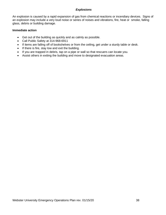# *Explosions*

An explosion is caused by a rapid expansion of gas from chemical reactions or incendiary devices. Signs of an explosion may include a very loud noise or series of noises and vibrations, fire, heat or smoke, falling glass, debris or building damage.

## **Immediate action**

- Get out of the building as quickly and as calmly as possible.
- Call Public Safety at 314-968-6911
- If items are falling off of bookshelves or from the ceiling, get under a sturdy table or desk.
- If there is fire, stay low and exit the building.
- If you are trapped in debris, tap on a pipe or wall so that rescuers can locate you.
- Assist others in exiting the building and move to designated evacuation areas.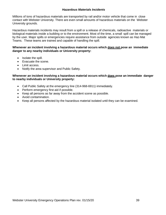## *Hazardous Materials Incidents*

Millions of tons of hazardous materials are transported by rail and/or motor vehicle that come in close contact with Webster University. There are even small amounts of hazardous materials on the Webster University grounds.

Hazardous materials incidents may result from a spill or a release of chemicals, radioactive materials or biological materials inside a building or to the environment. Most of the time, a small spill can be managed by the user. Major spills or emergencies require assistance from outside agencies known as Haz-Mat Teams. These teams are trained and capable of handling the spill.

## **Whenever an incident involving a hazardous material occurs which does not pose an immediate danger to any nearby individuals or University property:**

- Isolate the spill.
- Evacuate the scene.
- Limit access.
- Notify the area supervisor and Public Safety.

#### **Whenever an incident involving a hazardous material occurs which does pose an immediate danger to nearby individuals or University property:**

- Call Public Safety at the emergency line (314-968-6911) immediately.
- Perform emergency first aid if possible.
- Keep all persons as far away from the accident scene as possible.
- Avoid contamination.
- Keep all persons affected by the hazardous material isolated until they can be examined.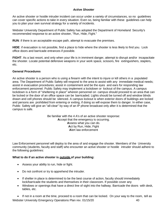# *Active Shooter*

An active shooter or hostile intruder incident can occur under a variety of circumstances, so no guidelines can cover specific actions to take in every situation. Even so, being familiar with these guidelines can help you to plan your own survival strategy for a variety of incidents.

Webster University Department of Public Safety has adopted the Department of Homeland Security's recommended response to an active shooter, "Run, Hide, Fight."

**RUN**: if there is an acceptable escape path, attempt to evacuate the premises.

**HIDE**: if evacuation is not possible, find a place to hide where the shooter is less likely to find you. Lock office doors and barricade entrances if possible.

**FIGHT**: As a last resort, and only when your life is in imminent danger, attempt to disrupt and/or incapacitate the shooter. Locate potential defensive weapons in your work space, scissors, fire extinguishers, staplers, etc.

## **General Procedures**

An active shooter is a person who is using a firearm with the intent to injure or kill others in a populated area. The Department of Public Safety will respond to the area to assist with any immediate medical needs; assist in evacuation procedures; assist in containment and be the eyes and ears for responding law enforcement personnel. Public Safety may implement a lockdown or lockout of the campus. A campus lockdown is a form of "sheltering in place" wherein personnel on campus should proceed to an area that can be locked or the door of an office space can be barricaded. Lights should be turned off and window blinds drawn and cell phones should be silenced. A campus lockout is when exterior doors of buildings are locked and persons are prohibited from entering or exiting, if doing so will expose them to danger. In either case, Public Safety will give an "all-clear" by way of an IP phone broadcast only after it is determined that the campus is safe.

> Be familiar with the 4 A's of an active shooter response: **A**ccept that the emergency is occurring. **A**ssess what you can do. **A**ct by Run, Hide, Fight **A**lert law enforcement

Law Enforcement personnel will deploy to the area of and engage the shooter. Members of the University community (students, faculty and staff) who encounter an active shooter or hostile intruder should adhere to the following guidelines:

## **What to do if an active shooter is outside of your building:**

- Assess your ability to run, hide or fight.
- Do not confront or try to apprehend the intruder.
- If shelter in place is determined to be the best course of action, faculty should immediately lock/barricade the students and themselves in their classroom. If possible cover any
- Windows or openings that have a direct line of sight into the hallway. Barricade the doors with desk, tables, etc.

Webster University Emergency Operations Plan rev. 01/15/20 40 • If not in a room at the time, proceed to a room that can be locked. On your way to the room, tell as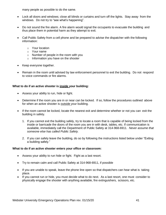many people as possible to do the same.

- Lock all doors and windows; close all blinds or curtains and turn off the lights. Stay away from the windows. Do not try to "see what's happening".
- Do not sound the fire alarm. A fire alarm would signal the occupants to evacuate the building and thus place them in potential harm as they attempt to exit.
- Call Public Safety from a cell phone and be prepared to advise the dispatcher with the following information:
	- o Your location
	- o Your name
	- o Number of people in the room with you
	- o Information you have on the shooter
- Keep everyone together.
- Remain in the room until advised by law enforcement personnel to exit the building. Do not respond to voice commands or fire alarms.

# **What to do if an active shooter is inside your building:**

- Assess your ability to run, hide or fight.
- Determine if the room you are in or near can be locked. If so, follow the procedures outlined above for when an active shooter is outside your building.
- If the room cannot be locked, locate the nearest exit and determine whether or not you can exit the building in safety.
	- 1. If you cannot exit the building safely, try to locate a room that is capable of being locked from the inside or barricade the doors of the room you are in with desk, tables, etc. If communication is available, immediately call the Department of Public Safety at 314-968-6911. *Never assume that someone else has called Public Safety.*
	- 2. If you can safely leave the building, do so by following the instructions listed below under "Exiting a building safely."

## **What to do if an active shooter enters your office or classroom:**

- Assess your ability to run hide or fight. Fight as a last resort.
- Try to remain calm and call Public Safety at 314-968-6911, if possible
- If you are unable to speak, leave the phone line open so that dispatchers can hear what is taking place.
- If you cannot run or hide, you must decide what to do next. As a last resort, one must consider to physically engage the shooter with anything available, fire extinguishers, scissors, etc.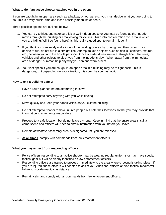## **What to do if an active shooter catches you in the open:**

If you are caught in an open area such as a hallway or lounge, etc., you must decide what you are going to do. This is a very crucial time and it can possibly mean life or death.

Three possible options are outlined below:

- 1. You can try to hide, but make sure it is a well-hidden space or you may be found as the intruder moves through the building or area looking for victims. Take into consideration the area in which you are hiding. Will I be found here? Is this really a good spot to remain hidden?
- 2. If you think you can safely make it out of the building or area by running, and then do so. If you decide to run, do not run in a straight line. Attempt to keep objects such as desks, cabinets, fixtures, etc., between you and the hostile person/s. Once outside, do not run in a straight line. Use trees, vehicles and other objects to block you from the intruder's view. When away from the immediate area of danger, summon help any way you can and warn others.
- 3. Your last option if you are caught in an open area in a building may be to fight back. This is dangerous, but depending on your situation, this could be your last option.

# **How to exit a building safely:**

- Have a route planned before attempting to leave.
- Do not attempt to carry anything with you while fleeing
- Move quickly and keep your hands visible as you exit the building
- Do not attempt to treat or remove injured people but note their locations so that you may provide that information to emergency responders.
- Proceed to a safe location, but do not leave campus. Keep in mind that the entire area is still a crime scene and officers will need to obtain information from you before you leave.
- Remain at whatever assembly area is designated until you are released.
- **At all times**, comply with commands from law enforcement officers.

## **What you may expect from responding officers:**

- Police officers responding to an active shooter may be wearing regular uniforms or may have special tactical gear but will be clearly identified as law enforcement officers.
- Responding officers are trained to proceed immediately to the area where shooting is taking place. If you are injured, those officers will not stop to assist you. Additional officers and/or tactical medics will follow to provide medical assistance.
- Remain calm and comply with all commands from law enforcement officers.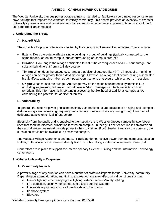# **ANNEX C – CAMPUS POWER OUTAGE GUIDE**

The Webster University campus power outage annex is intended to facilitate a coordinated response to any power outage that impacts the Webster University community. This annex provides an overview of Webster University's potential role and considerations for leadership in response to a power outage on any of the St. Louis metropolitan campuses.

#### **I. Understand the Threat**

## **A. Hazard/ Risk**

The impacts of a power outage are affected by the interaction of several key variables. These include:

- **Extent:** Does the outage affect a single building, a group of buildings (typically connected to the same feeder), an entire campus, and/or surrounding off-campus area(s)?
- **Duration:** How long is the outage anticipated to last? The consequences of a 1-3 hour outage are substantially different from a 1-3 day outage.
- **Timing:** When does the outage occur and are additional outages likely? The impact of a nighttime outage can be far greater than a daytime outage. Likewise, an outage that occurs during a semester break affects a much smaller resident population than one that occurs while school is in session.
- **Origin:** What caused the outage? An outage may be the result of unintended systemic failure (including engineering failures or natural disaster/storm damage) or intentional acts such as terrorism. This information is important in assessing the likelihood of additional outages and/or considering the potential for additional threats.

## **B. Vulnerability**

In general, the nation's power grid is increasingly vulnerable to failure because of an aging and complex distribution system, increasing frequency and intensity of natural disasters, and growing likelihood of deliberate attacks on critical infrastructure.

Electricity from the public grid is supplied to the majority of the Webster Groves campus by two feeder lines that feed the electrical substation located on campus. In theory, if one feeder line is compromised, the second feeder line would provide power to the substation. If both feeder lines are compromised, the substation would not be available to power the campus.

The Webster Village Apartments and the Luhr Building do not receive power from the campus substation. Rather, both locations are powered directly from the public utility, located on a separate power grid.

Generators are in place to support the Interdisciplinary Science Building and the Information Technology server room.

#### **II. Webster University's Response**

## **A. Community Impacts**

A power outage of any duration can have a number of profound impacts for the University community. Depending on extent, duration, and timing, a power outage may affect critical functions such as:

- Interior lighting, emergency egress lighting, exterior security/safety lighting
- Fire detection, security monitoring, and access control systems
- Life safety equipment such as fume hoods and fire pumps
- IP phone system
- Elevators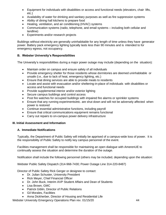- Equipment for individuals with disabilities or access and functional needs (elevators, chair lifts, etc.)
- Availability of water for drinking and sanitary purposes as well as fire suppression systems
- Ability of dining hall kitchens to prepare food
- Heating, ventilation, and air conditioning (HVAC) systems
- Communication systems (radio, telephone, and email systems including both cellular and landline)
- Experiments and/or research projects

Buildings without electricity are generally uninhabitable for any length of time unless they have generator power. Battery pack emergency lighting typically lasts less than 90 minutes and is intended to for emergency egress, not occupancy.

# **B. Webster University's Responsibilities**

The University's responsibilities during a major power outage may include (depending on the situation):

- Maintain order on campus and ensure safety of all individuals
- Provide emergency shelter for those residents whose dormitories are deemed uninhabitable or unsafe (i.e., due to lack of heat, emergency lighting, etc.)
- Ensure that dining services are able to provide meals to residents
- Locate and assist with evacuation and/or sheltering-in-place of individuals with disabilities or access and functional needs
- Provide supplemental interior and/or exterior lighting
- Secure campus buildings and control access
- Post fire watches for occupied buildings with impaired fire alarms or sprinkler systems
- Ensure that any running experiments/etc. are shut down and will not be adversely affected when power is restored
- Continue essential administrative functions, including payroll
- Ensure that critical communications equipment remains functional
- Carry out repairs to on-campus power delivery infrastructure

## **III. Initial Assessment and Information**

## **A. Immediate Notifications**

Typically, the Department of Public Safety will initially be apprised of a campus-wide loss of power. It is the responsibility of Public Safety to notify key campus personnel of the event.

Facilities management shall be responsible for maintaining an open dialogue with AmerenUE to continually assess the situation and determine the duration of the outage.

Notification shall include the following personnel (others may be included, depending upon the situation:

Webster Public Safety Dispatch (314-968-7430; Power Outage Line 314-220-8487)

Director of Public Safety Rick Gerger or designee to contact:

- Dr. Julian Schuster, University President
- Rick Meyer, Chief Financial Officer
- Dr. John Buck, Interim AVP Student Affairs and Dean of Students
- Lisa Brown, GMC
- Patrick Giblin, Director of Public Relations
- Gil Morales, Facilities
- Anna Dickherber, Director of Housing and Residential Life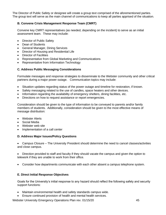The Director of Public Safety or designee will create a group text comprised of the aforementioned parties. The group text will serve as the main channel of communications to keep all parties apprised of the situation.

# **B. Convene Crisis Management Response Team (CMRT)**

Convene key CMRT representatives (as needed, depending on the incident) to serve as an initial assessment team. These may include:

- Director of Public Safety
- Dean of Students
- General Manager, Dining Services
- Director of Housing and Residential Life
- **Director of Facilities**
- Representative from Global Marketing and Communications
- Representative from Information Technology

## **C. Address Public Messaging Considerations**

Formulate messages and response strategies to disseminate to the Webster community and other critical partners during a major power outage. Communication topics may include:

- Situation updates regarding status of the power outage and timeline for restoration, if known.
- Safety messaging related to the use of candles, space heaters and other devices.
- Information regarding the availability of emergency shelters, dining facilities, etc.
- Directions on how to request assistance or report emergencies.

Consideration should be given to the type of information to be conveyed to parents and/or family members of students. Additionally, consideration should be given to the most effective means of message distribution:

- Webster Alerts
- Social Media
- Webster web site
- Implementation of a call center

#### **D. Address Major Issues/Policy Questions**

• Campus Closure – The University President should determine the need to cancel classes/activities and close campus.

• Direction provided to staff and faculty if they should vacate the campus and given the option to telework if they are unable to work from their office.

• Consider how departments communicate with each other absent a campus telephone system.

## **E. Direct Initial Response Objectives**

Goals for the University's initial response to any hazard should reflect the following safety and security support functions:

- Maintain environmental health and safety standards campus wide.
- Ensure continued provision of health and mental health services.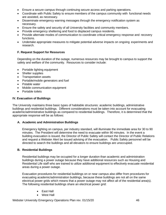- Ensure a secure campus through continuing secure access and parking operations.
- Coordinate with Public Safety to ensure members of the campus community with functional needs are assisted, as necessary.
- Disseminate emergency warning messages through the emergency notification system as necessary.
- Ensure the safety and security of all University facilities and community members.
- Provide emergency sheltering and food to displaced campus residents.
- Provide alternate modes of communication to coordinate critical emergency response and recovery functions.
- Undertake appropriate measures to mitigate potential adverse impacts on ongoing experiments and research.

## **F. Request Support for Resources**

Depending on the duration of the outage, numerous resources may be brought to campus to support the safety and welfare of the community. Resources to consider include:

- Portable lighting equipment
- Shelter supplies
- Transportation assets
- Portable/mobile generators and fuel
- Potable water
- Mobile communication equipment
- Portable toilets

#### **IV. Evacuation of Buildings**

The University maintains three basic types of habitable structures: academic buildings, administrative buildings and residential buildings. Different considerations must be taken into account for evacuating academic/administrative buildings as compared to residential buildings. Therefore, it is determined that the appropriate response will be as follows:

## **A. Academic and Administration Buildings**

Emergency lighting on campus, per industry standard, will illuminate the immediate area for 30 to 90 minutes. The President will determine the need to evacuate within 90 minutes. In the event a building evacuation is issued, the Director of Public Safety will contact the Director of Public Relations and request a Webster Alert be issued advising of the evacuation. Public Safety personnel will be directed to search the buildings and all elevators to ensure buildings are unoccupied.

#### **B. Residential Buildings**

Residential buildings may be occupied for a longer duration than academic and administration buildings during a power outage because they have additional resources such as Housing and Residential Life staff who are trained to utilize additional equipment to effectively evacuate residential areas during a power outage.

Evacuation procedures for residential buildings on or near campus also differ from procedures for evacuating academic/administration buildings, because these buildings are not all on the same electrical power grids which means that a power outage may not affect all of the residential area(s). The following residential buildings share an electrical power grid:

- East Hall
- West Hall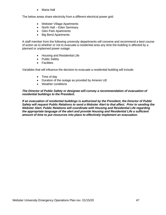• Maria Hall

The below areas share electricity from a different electrical power grid:

- Webster Village Apartments
- North Hall Eden Seminary
- Glen Park Apartments
- Big Bend Apartments

A staff member from the following university departments will convene and recommend a best course of action as to whether or not to evacuate a residential area any time the building is affected by a planned or unplanned power outage:

- Housing and Residential Life
- Public Safety
- Facilities

Variables that will influence the decision to evacuate a residential building will include:

- Time of day
- Duration of the outage as provided by Ameren UE
- Weather conditions

*The Director of Public Safety or designee will convey a recommendation of evacuation of residential buildings to the President.*

*If an evacuation of residential buildings is authorized by the President, the Director of Public Safety will request Public Relations to send a Webster Alert to that affect. Prior to sending the Webster Alert, Public Relations will coordinate with Housing and Residential Life regarding the appropriate language of the alert and provide Housing and Residential Life a sufficient amount of time to put resources into place to effectively implement an evacuation.*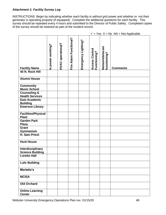# *Attachment 1: Facility Survey Log*

INSTRUCTIONS: Begin by indicating whether each facility is without grid power and whether or not their generator is operating properly (if equipped). Complete the additional questions for each facility. This survey should be repeated every 4 hours and submitted to the Director of Public Safety. Completed copies of the survey should be retained as part of the incident record.

|                                                | Is power working? | HVAC operational? | Fire Alarm Functional? | Emergency Lighting? | <b>Access Control</b><br>Functioning? | Network/telecom<br>functioning? | <b>Comments</b> |
|------------------------------------------------|-------------------|-------------------|------------------------|---------------------|---------------------------------------|---------------------------------|-----------------|
| <b>Facility Name</b><br>40 N. Rock Hill        |                   |                   |                        |                     |                                       |                                 |                 |
|                                                |                   |                   |                        |                     |                                       |                                 |                 |
| <b>Alumni House</b>                            |                   |                   |                        |                     |                                       |                                 |                 |
| <b>Community</b>                               |                   |                   |                        |                     |                                       |                                 |                 |
| <b>Music School</b>                            |                   |                   |                        |                     |                                       |                                 |                 |
| <b>Counseling &amp;</b>                        |                   |                   |                        |                     |                                       |                                 |                 |
| <b>Health Services</b><br><b>East Academic</b> |                   |                   |                        |                     |                                       |                                 |                 |
| <b>Building</b>                                |                   |                   |                        |                     |                                       |                                 |                 |
| <b>Emerson Library</b>                         |                   |                   |                        |                     |                                       |                                 |                 |
| <b>Facilities/Physical</b><br><b>Plant</b>     |                   |                   |                        |                     |                                       |                                 |                 |
| <b>Garden Park</b>                             |                   |                   |                        |                     |                                       |                                 |                 |
| <b>Plaza</b>                                   |                   |                   |                        |                     |                                       |                                 |                 |
| <b>Grant</b>                                   |                   |                   |                        |                     |                                       |                                 |                 |
| Gymnasium<br>H. Sam Priest                     |                   |                   |                        |                     |                                       |                                 |                 |
|                                                |                   |                   |                        |                     |                                       |                                 |                 |
| <b>Hunt House</b>                              |                   |                   |                        |                     |                                       |                                 |                 |
| Interdisciplinary<br><b>Science Building</b>   |                   |                   |                        |                     |                                       |                                 |                 |
| <b>Loretto Hall</b>                            |                   |                   |                        |                     |                                       |                                 |                 |
| <b>Luhr Building</b>                           |                   |                   |                        |                     |                                       |                                 |                 |
| Marletto's                                     |                   |                   |                        |                     |                                       |                                 |                 |
| <b>MCISA</b>                                   |                   |                   |                        |                     |                                       |                                 |                 |
| <b>Old Orchard</b>                             |                   |                   |                        |                     |                                       |                                 |                 |
| <b>Online Learning</b><br><b>Center</b>        |                   |                   |                        |                     |                                       |                                 |                 |

 $\checkmark$  = Yes  $X$  = No NA = Not Applicable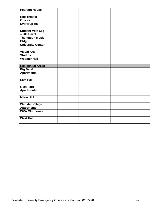| <b>Pearson House</b>                        |  |  |  |  |
|---------------------------------------------|--|--|--|--|
| <b>Rep Theater</b><br><b>Offices</b>        |  |  |  |  |
| <b>Sverdrup Hall</b>                        |  |  |  |  |
| <b>Student Vets Org</b><br>- 200 Hazel      |  |  |  |  |
| <b>Thompson Music</b><br>Bldg.              |  |  |  |  |
| <b>University Center</b>                    |  |  |  |  |
| <b>Visual Arts</b><br><b>Studios</b>        |  |  |  |  |
| <b>Webster Hall</b>                         |  |  |  |  |
|                                             |  |  |  |  |
| <b>Residential Areas</b>                    |  |  |  |  |
|                                             |  |  |  |  |
| <b>Big Bend</b><br><b>Apartments</b>        |  |  |  |  |
| <b>East Hall</b>                            |  |  |  |  |
| <b>Glen Park</b>                            |  |  |  |  |
| <b>Apartments</b>                           |  |  |  |  |
| <b>Maria Hall</b>                           |  |  |  |  |
| <b>Webster Village</b><br><b>Apartments</b> |  |  |  |  |
| <b>WVA Clubhouse</b>                        |  |  |  |  |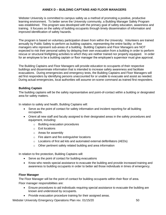# **ANNEX D – BUILDING CAPTAINS AND FLOOR MANAGERS**

Webster University is committed to campus safety as a method of promoting a positive, productive learning environment. To better serve the University community, a Building Manager Safety Program was established. This program was developed with the primary goal of safety education, awareness and training. It focuses on the safety of building occupants through timely dissemination of information and improved identification of safety hazards.

The program is based on voluntary participation drawn from within the University. Volunteers are trained annually by Public Safety to perform as building captains, representing the entire facility; or floor managers who represent sub-areas of a building. Building Captains and Floor Managers are NOT expected to risk their personal safety by delaying their own evacuation from a building in order to perform rescue or structural firefighting activities to which they are neither trained nor properly equipped. In order for an employee to be a building captain or floor manager the employee's supervisor must give approval.

The Building Captains and Floor Managers will provide education to occupants of their respective buildings and disseminate information that is intended to increase safety awareness and facilitate evacuations. During emergencies and emergency tests, the Building Captains and Floor Managers will aid first responders by identifying persons unaccounted for or unable to evacuate and assist as needed. During actual emergencies, local authorities will assume on-scene command as trained first responders.

## **Building Captain**

The building captains will be the safety representative and point-of-contact within a building or designated area for safety matters.

In relation to safety and health, Building Captains will:

- Serve as the point of contact for safety information and incident reporting for all building occupants.
- Orient all new staff and faculty assigned to their designated areas in the safety procedures and equipment, including:
	- o Building evacuation procedures
	- o Exit locations
	- o Areas for assembly
	- o Fire alarm and fire extinguisher locations
	- $\circ$  Locations of first aid kits and automated external defibrillators (AEDs)
	- o Other pertinent safety related building and area information

In relation to fire protection, Building Captains will:

- Serve as the point of contact for building evacuations
- Know who needs special assistance to evacuate the building and provide increased training and awareness to building occupants in order to better aid those individuals in times of emergency.

## **Floor Manager**

The Floor Manager will be the point of contact for building occupants within their floor of area. Floor manager responsibilities are:

- Ensure procedures to aid individuals requiring special assistance to evacuate the building are known and understood by occupants.
- Provide evacuation procedure training for their assigned areas.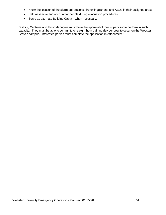- Know the location of fire alarm pull stations, fire extinguishers, and AEDs in their assigned areas.
- Help assemble and account for people during evacuation procedures.
- Serve as alternate Building Captain when necessary.

Building Captains and Floor Managers must have the approval of their supervisor to perform in such capacity. They must be able to commit to one eight hour training day per year to occur on the Webster Groves campus. Interested parties must complete the application in Attachment 1.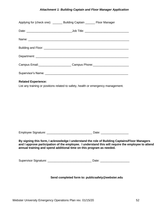# *Attachment 1: Building Captain and Floor Manager Application*

|                                                  | Applying for (check one): _______ Building Captain _______ Floor Manager                                                                                                                                                                                                    |  |  |  |  |  |  |
|--------------------------------------------------|-----------------------------------------------------------------------------------------------------------------------------------------------------------------------------------------------------------------------------------------------------------------------------|--|--|--|--|--|--|
|                                                  |                                                                                                                                                                                                                                                                             |  |  |  |  |  |  |
|                                                  |                                                                                                                                                                                                                                                                             |  |  |  |  |  |  |
|                                                  |                                                                                                                                                                                                                                                                             |  |  |  |  |  |  |
|                                                  |                                                                                                                                                                                                                                                                             |  |  |  |  |  |  |
|                                                  | Campus Email: Campus Phone: Campus Phone:                                                                                                                                                                                                                                   |  |  |  |  |  |  |
|                                                  |                                                                                                                                                                                                                                                                             |  |  |  |  |  |  |
| <b>Related Experience:</b>                       | List any training or positions related to safety, health or emergency management.                                                                                                                                                                                           |  |  |  |  |  |  |
|                                                  |                                                                                                                                                                                                                                                                             |  |  |  |  |  |  |
|                                                  | By signing this form, I acknowledge I understand the role of Building Captains/Floor Managers<br>and I approve participation of the employee. I understand this will require the employee to attend<br>annual training and spend additional time on this program as needed. |  |  |  |  |  |  |
|                                                  |                                                                                                                                                                                                                                                                             |  |  |  |  |  |  |
| Send completed form to: publicsafety@webster.edu |                                                                                                                                                                                                                                                                             |  |  |  |  |  |  |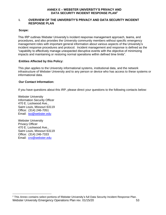#### **ANNEX E – WEBSTER UNIVERSITY'S PRIVACY AND DATA SECURITY INCIDENT RESPONSE PLAN<sup>2</sup>**

#### **I. OVERVIEW OF THE UNIVERSITY'S PRIVACY AND DATA SECURITY INCIDENT RESPONSE PLAN**

#### **Scope:**

This IRP outlines Webster University's incident response management approach, teams, and procedures, and also provides the University community members without specific emergency management roles with important general information about various aspects of the University's incident response procedures and protocol. Incident management and response is defined as the "capability to effectively manage unexpected disruptive events with the objective of minimizing impacts and maintaining or restoring normal operations within defined time limits".

# **Entities Affected by this Policy:**

This plan applies to the University informational systems, institutional data, and the network infrastructure of Webster University and to any person or device who has access to these systems or informational data.

#### **Our Contact Information:**

If you have questions about this IRP, please direct your questions to the following contacts below:

Webster University Information Security Officer 470 E. Lockwood Ave., Saint Louis, Missouri 63119 Office: (314) 246-7051 Email: [iso@webster.edu](mailto:iso@webster.edu)

Webster University Privacy Officer 470 E. Lockwood Ave., Saint Louis, Missouri 63119 Office: (314) 246-7333 Email: [cro@webster.edu](mailto:cro@webster.edu)

Webster University Emergency Operations Plan rev. 01/15/20 **53** <sup>2</sup> This Annex contains select portions of Webster University's full Data Security Incident Response Plan.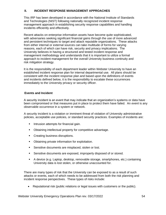### **II. INCIDENT RESPONSE MANAGEMENT APPROACHES**

This IRP has been developed in accordance with the National Institute of Standards and Technologies (NIST) following nationally recognized incident response management approach in establishing security response capabilities and handling incidents efficiently and effectively.

Recent attacks on enterprise information assets have become quite sophisticated, with adversaries seeking significant financial gains through the use of more advanced and persistent techniques to target and attack reputable organizations. These attacks from either internal or external sources can take multitude of forms for varying reasons, each of which can have risk, security and privacy implications. The University believes in having a structured and tested incident response and management methodology and understands that it is important to utilize a formal approach to incident management for the overall University business continuity and risk mitigation strategy.

It is the responsibility of each department leader within Webster University to have an established incident response plan for internal departmental use. All plans should be consistent with the incident response plan and based upon the definitions of events and incidents defined below, it is the responsibility to escalate these occurrences immediately to the University privacy or security officer.

## **Events and Incident**

A security incident is an event that may indicate that an organization's systems or data have been compromised or that measures put in place to protect them have failed. An *event* is any observable occurrence in a system or network.

A security incident is a violation or imminent threat of violation of University administrative policies, acceptable use policies, or standard security practices. Examples of incidents are:

- **•** Intrusion attempts for financial gain.
- Obtaining intellectual property for competitive advantage.
- **Creating business disruptions.**
- Obtaining private information for exploitation.
- **EXECUTE:** Sensitive documents are misplaced, stolen or lost.
- Sensitive documents are exposed, improperly disposed of or stored.
- A device (e.g. Laptop, desktop, removable storage, smartphones, etc.) containing University data is lost stolen, or otherwise unaccounted for.

There are many types of risk that the University can be exposed to as a result of such attacks or events, each of which needs to be addressed from both the risk planning and incident response perspectives. These types of risks include:

• Reputational risk (public relations or legal issues with customers or the public).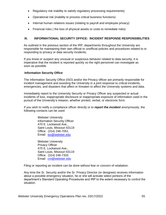- Regulatory risk inability to satisfy regulatory processing requirements)
- Operational risk (inability to process critical business functions)
- Internal human relations issues (relating to payroll and employee privacy)
- Financial risks ( the loss of physical assets or costs to remediate risks)

## **III. INFORMATIONAL SECURITY OFFICE: INCIDENT RESPONSE RESPONSIBILITIES**

As outlined in the previous section of the IRP, departments throughout the University are responsible for maintaining their own official or unofficial policies and procedures related to or responding to privacy or data security incidents.

If you know or suspect any unusual or suspicious behavior related to data security, it is imperative that the incident is reported quickly so the right personnel can investigate as soon as possible.

## **Information Security Office**

The Information Security Office (ISO) and/or the Privacy officer are primarily responsible for incident management and assisting the University in a joint response to critical incidents, emergencies, and disasters that affect or threaten to affect the University systems and data.

Immediately report to the University Security or Privacy Officer any suspected or actual incidents of loss, inappropriate disclosure or inappropriate exposure of information used in the pursuit of the University's mission, whether printed, verbal, or electronic form.

If you wish to notify a compliance officer directly or to *report the incident* anonymously, the following contacts can be used:

> Webster University Information Security Officer 470 E. Lockwood Ave., Saint Louis, Missouri 63119 Office: (314) 246-7051 Email: **[iso@webster.edu](mailto:iso@webster.edu)**

> Webster University Privacy Officer 470 E. Lockwood Ave., Saint Louis, Missouri 63119 Office: (314) 246-7333 Email: [cro@webster.edu](mailto:cro@webster.edu)

Filing or reporting an incident can be done without fear or concern of retaliation.

Any time the Sr. Security and/or the Sr. Privacy Director (or designee) receives information about a possible emergency situation, he or she will activate select portions of the department's Standard Operating Procedures and IRP to the extent necessary to control the situation.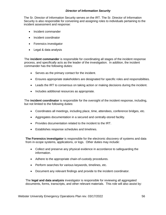## *Director of Information Security*

The Sr. Director of Information Security serves on the IRT. The Sr. Director of Information Security is also responsible for convening and assigning roles to individuals pertaining to the incident assessment and response:

- Incident commander
- Incident coordinator
- Forensics investigator
- Legal & data analysis

The **incident commander** is responsible for coordinating all stages of the incident response process, and specifically acts as the leader of the investigation. In addition, the incident commander has the following duties:

- Serves as the primary contact for the incident.
- Ensures appropriate stakeholders are designated for specific roles and responsibilities.
- Leads the IRT to consensus on taking action or making decisions during the incident.
- Includes additional resources as appropriate.

The **incident coordinator** is responsible for the oversight of the incident response, including, but not limited to the following duties:

- Coordinates all meetings, including place, time, attendees, conference bridges, etc.
- Aggregates documentation in a secured and centrally-stored facility.
- Provides documentation related to the incident to the IRT.
- Establishes response schedules and timelines.

**The Forensics investigator** is responsible for the electronic discovery of systems and data from in-scope systems, applications, or logs. Other duties may include:

- Collect and preserve any physical evidence in accordance to safeguarding the information.
- Adhere to the appropriate chain-of-custody procedures.
- Perform searches for various keywords, timelines, etc.
- Document any relevant findings and provide to the incident coordinator.

The **legal and data analysis** investigator is responsible for reviewing all aggregated documents, forms, transcripts, and other relevant materials. This role will also assist by: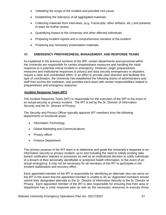- Validating the scope of the incident and possible root cause.
- Establishing the relevancy of all aggregated materials.
- Collecting materials from interviews, (e.g. Transcripts, other artifacts, etc.) and presents to team for further review.
- Quantifying impact to the University and other affected individuals.
- Preparing incident reports and a comprehensive narrative of the incident.
- Preparing any necessary presentation materials.

# **IV. EMERGENCY PREPAREDNESS, MANAGEMENT, AND RESPONSE TEAMS**

As explained in the previous sections of the IRP, certain departments and personnel within the University are responsible for certain preparedness measures and handling the initial response to a potential critical incident or emergency. However, larger preparedness measures and institutional responses to privacy and data security emergencies or disasters require a clear and coordinated effort. In an effort to provide clear direction and facilitate this type of coordination, the University has established the following teams of administrators and staff from across the institution, and provided each team with certain responsibilities related to preparedness and emergency response.

## **Incident Response Team (IRT)**

The Incident Response Team (IRT) is responsible for the execution of the IRP in the event of an actual security or privacy incident. The IRT is led by the Sr. Director of Information Security and the Sr. Director of Privacy.

The Security and Privacy Officer typically appoints IRT members from the following departments or functional areas:

- Information Technology
- Global Marketing and Communications
- Privacy officer
- Finance Department

The primary purpose of the IRT team is to determine and guide the University's response to an information security or privacy incident, up to and including the need to satisfy existing data breach notification statutes or processes as well as an institutional decision to notify individuals of a breach of their personally identifiable or protected health information. In the event of an actual emergency, it may not be necessary for all members of the IRT to participate in the incident stabilization and recovery effort.

Each appointed member of the IRT is responsible for identifying an alternate who can serve on the IRT in the event that the appointed member is unable to do so. Appointed members should submit their designated alternate to the Sr. Director of Information Security or the Sr. Director of Privacy. Each appointed member of the IRT is also responsible for ensuring that their area or department has a crisis response plan as well as the necessary resources to execute those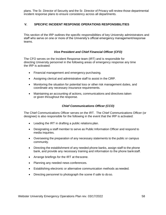plans. The Sr. Director of Security and the Sr. Director of Privacy will review those departmental incident response plans to ensure consistency across all departments.

# **V. SPECIFIC INCIDENT RESPONSE OPERATIONS RESPONSIBILITIES**

This section of the IRP outlines the specific responsibilities of key University administrators and staff who serve on one or more of the University's official emergency management/response teams.

# *Vice President and Chief Financial Officer (CFO)*

The CFO serves on the Incident Response team (IRT) and is responsible for directing University personnel in the following areas of emergency response any time the IRP is activated:

- Financial management and emergency purchasing.
- Assigning clerical and administrative staff to assist in the CIRP.
- Monitoring the situation for potential loss or other risk management duties, and coordinate any necessary insurance requirements.
- Maintaining an accounting of actions, communications and directives taken or given throughout the response.

## *Chief Communications Officer (CCO)*

The Chief Communications Officer serves on the IRT. The Chief Communications Officer (or designee) is also responsible for the following in the event that the IRP is activated:

- Leading the IRT in drafting a public relations plan.
- Designating a staff member to serve as Public Information Officer and respond to media inquiries.
- Overseeing the preparation of any necessary statements to the public or campus community.
- Directing the establishment of any needed phone banks, assign staff to the phone bank, and provide any necessary training and information to the phone bankstaff.
- Arrange briefings for the IRT at thescene.
- Planning any needed news conferences.
- Establishing electronic or alternative communication methods as needed.
- Directing personnel to photograph the scene if safe to doso.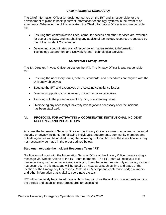# *Chief Information Officer (CIO)*

The Chief Information Officer (or designee) serves on the IRT and is responsible for the development of plans to backup current information technology systems in the event of an emergency. Whenever the IRP is activated, the Chief Information Officer is also responsible for:

- Ensuring that communication lines, computer access and other services are available for use at the EOC, and marshalling any additional technology resources requested by the IRT or Incident Commander.
- Developing a coordinated plan of response for matters related to Information Technology Department and Networking and Technological Services.

# *Sr. Director Privacy Officer*

The Sr. Director, Privacy Officer serves on the IRT. The Privacy Officer is also responsible for:

- Ensuring the necessary forms, policies, standards, and procedures are aligned with the University objectives.
- Educate the IRT and executives on evaluating compliance issues.
- Directing/supporting any necessary incident response capabilities.
- Assisting with the preservation of anything of evidentiary value.
- Overseeing any necessary University investigations necessary after the incident has been stabilized.

## **VI. PROTOCOL FOR ACTIVATING A COORDINATED INSTITUTIONAL INCIDENT RESPONSE AND INITIAL STEPS**

Any time the Information Security Office or the Privacy Office is aware of an actual or potential security or privacy incident, the following individuals, departments, community members and outside agencies will be notified, using the following protocol, however these notifications may not necessarily be made in the order outlined below.

# **Step one**: **Activate the Incident Response Team (IRT)**

Notification will start with the Information Security Office or the Privacy Officer broadcasting a message via Webster Alerts to the IRT team members. The IRT team will receive a text message along with an email message notifying them that a serious security or privacy incident has occurred. In this message will be details on next steps such as time and dates of the location of the Emergency Operations Center (EOC), telephone conference bridge numbers and other information that is vital to coordinate the team.

IRT will immediately begin to address on how they will drive the ability to continuously monitor the threats and establish clear procedures for assessing: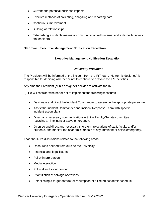- Current and potential business impacts.
- Effective methods of collecting, analyzing and reporting data.
- Continuous improvement.
- Building of relationships.
- Establishing a suitable means of communication with internal and external business stakeholders.

#### **Step Two: Executive Management Notification Escalation**

## **Executive Management Notification Escalation:**

#### *University President*

The President will be informed of the incident from the IRT team. He (or his designee) is responsible for deciding whether or not to continue to activate the IRT activities.

Any time the President (or his designee) decides to activate the IRT,

1) He will consider whether or not to implement the following measures:

- Designate and direct the Incident Commander to assemble the appropriate personnel.
- Assist the Incident Commander and Incident Response Team with specific incident action plans.
- Direct any necessary communications with the Faculty/Senate committee regarding an imminent or active emergency.
- Oversee and direct any necessary short term relocations of staff, faculty and/or students, and monitor the academic impacts of any imminent or active emergency.

Lead the IRT's discussions related to the following areas:

- Resources needed from outside the University
- Financial and legal issues
- Policy interpretation
- Media interaction
- Political and social concern
- Prioritization of salvage operations
- Establishing a target date(s) for resumption of a limited academic schedule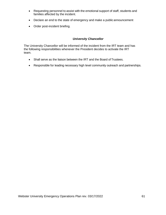- Requesting personnel to assist with the emotional support of staff, students and families affected by the incident.
- Declare an end to the state of emergency and make a public announcement
- Order post-incident briefing.

# *University Chancellor*

The University Chancellor will be informed of the incident from the IRT team and has the following responsibilities whenever the President decides to activate the IRT team.

- Shall serve as the liaison between the IRT and the Board of Trustees.
- Responsible for leading necessary high level community outreach and partnerships.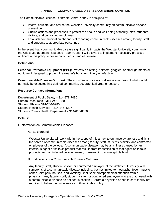## **ANNEX F – COMMUNICABLE DISEASE OUTBREAK CONTROL**

The Communicable Disease Outbreak Control annex is designed to:

- Inform, educate, and advise the Webster University community on communicable disease prevention.
- Outline actions and processes to protect the health and well-being of faculty, staff, students, visitors, and contracted employees.
- Establish communication channels of reporting communicable diseases among faculty, staff, and students to appropriate personnel.

In the event that a communicable disease significantly impacts the Webster University community, the Crisis Management Response Team (CMRT) will activate to implement necessary practices outlined in this policy to cease continued spread of disease.

## **Definitions:**

**Personal Protective Equipment (PPE):** Protective clothing, helmets, goggles, or other garments or equipment designed to protect the wearer's body from injury or infection.

**Communicable Disease Outbreak:** The occurrence of cases of disease in excess of what would normally be expected in a defined community, geographical area, or season.

# **Resource Contact Information:**

Department of Public Safety – 314-978-7430 Human Resources – 314-246-7580 Student Affairs – 314-246-6980 Student Health Services – 314-246-4207 St. Louis County Health Department – 314-615-0600

## **Details:**

I. Information on Communicable Diseases:

## A. Background

Webster University will work within the scope of this annex to enhance awareness and limit the spread of communicable diseases among faculty, staff, students, visitors, and contracted employees of the college. A communicable disease may be any illness caused by an infectious agent or its toxic product that results from transmission of that agent or its toxic products from an infected person, animal, or reservoir to a susceptible host.

B. Indications of a Communicable Disease Outbreak

Any faculty, staff, student, visitor, or contracted employee of the Webster University with symptoms of a communicable disease including, but not limited to, headache, fever, muscle aches, joint pain, nausea, and vomiting, shall seek prompt medical attention from a physician. Any faculty, staff, student, visitor, or contracted employee who are diagnosed with a communicable disease as defined in section I.C from a physician or health care facility are required to follow the guidelines as outlined in this policy.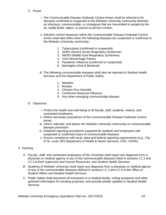- C. Scope
	- i. The Communicable Disease Outbreak Control Annex shall be referred to for diseases confirmed or suspected in the Webster University community deemed as infectious, communicable, or contagious that are transmitted to people by the air, bodily fluids, object, or person-to-person contact.
	- ii. Infection control measures within the Communicable Disease Outbreak Control Annex shall take effect when the following diseases are suspected or confirmed in the Webster University community:
		- 1. Tuberculosis (confirmed or suspected)
		- 2. SARS (Severe Acute Respiratory Syndrome)
		- 3. MERS (Middle East Respiratory Syndrome)
		- 4. Viral Hemorrhagic Fevers
		- 5. Pandemic Influenza (confirmed or suspected)
		- 6. Meningitis (Viral & Bacterial)
	- iii. The following communicable diseases shall also be reported to Student Health Services and the Department of Public Safety:
		- 1. Measles
		- 2. Mumps
		- 3. Chicken Pox-Varicella
		- 4. Confirmed Seasonal Influenza
		- 5. Any other emerging communicable disease
- D. Objectives
	- i. Protect the health and well-being of all faculty, staff, students, visitors, and contracted employees
	- ii. Define necessary procedures of the Communicable Disease Outbreak Control annex
	- iii. Inform, educate, and advise the Webster University community on communicable disease prevention
	- iv. Establish reporting procedures expected for students and employees with suspected or confirmed cases of communicable diseases
	- v. Ensure compliance with local, state and federal reporting requirements (e.g., City of St. Louis, MO Department of Health & Senior Services, CDC, OSHA)
- II. Tracking
	- A. Faculty, staff, and contracted employees of the University shall report any diagnosis from a physician or medical agency of any of the communicable diseases listed in sections I.C.2 and I.C.3 to their supervisor and Human Resources, and Student Health Services.
	- B. Students of Webster University shall report any diagnosis from a physician or medical agency of any of the communicable diseases defined in sections I.C.2 and I.C.3 to the Office of Student Affairs and Student Health Services.
	- C. Public Safety shall document all transports to a medical facility, noting symptoms and other pertinent information for trending purposes, and provide weekly updates to Student Health Services.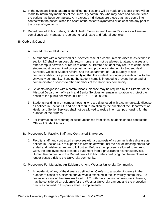- D. In the event an illness pattern is identified, notifications will be made and a best effort will be made to inform any members of the University community who may have had contact since the patient has been contagious. Any exposed individuals are those that have come into contact with the patient since the onset of the patient's symptoms or at least one day prior to the onset of symptoms.
- E. Department of Public Safety, Student Health Services, and Human Resources will ensure compliance with mandatory reporting to local, state and federal agencies.

#### III. Outbreak Control

- A. Procedures for all students
- 1. All students with a confirmed or suspected case of a communicable disease as defined in section I.C shall when possible, return home, shall not be allowed to attend classes and other campus activities, or return to campus. Before a student may return to campus the student must be examined by a physician and provide a statement to Student Health Services, Office of Student Affairs, and the Department of Public Safety of noncommunicability by a physician certifying that the student no longer presents a risk to the University community. Sending the student home is intended to prevent the spread of communicable diseases to other members of the University community.
- 2. Students diagnosed with a communicable disease may be required by the Director of the Missouri Department of Health and Senior Services to remain in isolation to protect the health of the public per Missouri Title 19.CSR.20.20-050.
- 3. Students residing in on-campus housing who are diagnosed with a communicable disease as defined in Section I.C and do not require isolation by the director of the Department of Health and Senior Services shall not be allowed to reside in on-campus housing for the duration of their illness.
- 4. For information on reporting excused absences from class, students should contact the Office of Student Affairs.
- B. Procedures for Faculty, Staff, and Contracted Employees
	- 1. Faculty, staff, and contracted employees with a diagnosis of a communicable disease as defined in Section I.C are expected to remain off work until the risk of infecting others has ended and he/she can return to full duties. Before an employee is allowed to return to work, the employee must present a statement from a physician to his/her supervisor, Human Resources, and the Department of Public Safety certifying that the employee no longer poses a risk to the University community.
- C. Procedures For Managing An Epidemic Among Webster University Community:
	- 1. An epidemic of any of the diseases defined in I.C refers to a sudden increase in the number of cases of a disease above what is expected in the University community. As few as one case of the diseases listed in I.C, with the exception of seasonal influenza, may be considered an epidemic for the Webster University campus and the protection practices outlined in this policy shall be implemented.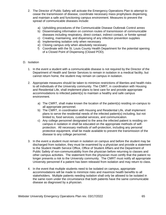- 2. The Director of Public Safety will activate the Emergency Operations Plan to attempt to cease the transmission of disease, coordinate necessary mass prophylaxis dispensing, and maintain a safe and functioning campus environment. Measures to prevent the spread of communicable diseases include:
	- a) Upholding procedures of the Communicable Disease Outbreak Control annex
	- b) Disseminating information on common routes of transmission of communicable diseases including respiratory, direct contact, indirect contact, or fomite spread
	- c) Creating, maintaining, and dispensing of any infection prevention supplies
	- d) Implementing isolation only when necessary
	- e) Closing campus only when absolutely necessary
	- f) Coordinate with the St. Louis County Health Department for the potential opening of a Closed Point of Dispensing (Closed POD).

#### D. Isolation

- 1. In the event a student with a communicable disease is not required by the Director of the Department of Health and Senior Services to remain in isolation in a medical facility, but cannot return home, the student may remain on campus in isolation.
- 2. Appropriate measures should be taken to minimize restrictions of liberties and health risks to all individuals of the University community. The CMRT, in coordination with Housing and Residential Life, shall implement plans to best care for and provide appropriate accommodations to infected patient(s) to maintain a healthy and safe campus environment.
	- a) The CMRT, shall make known the location of the patient(s) residing on-campus to all appropriate personnel.
	- b) The CMRT, in coordination with Housing and Residential Life, shall implement plans to serve the residential needs of the infected patient(s) including, but not limited to, food services, custodial services, and communication.
	- c) Any college personnel designated to the area the infected patient is residing oncampus in isolation in shall be educated on the appropriate methods of selfprotection. All necessary methods of self-protection, including any personal protective equipment, shall be made available to prevent the transmission of the disease to any college personnel.
- 3. In the event a student must remain in isolation on campus and before the student may be discharged from isolation, they must be examined by a physician and provide a statement to the Student Health Service Office, Office of Student Affairs and the Department of Public Safety of non-communicability from the physician before returning to classes and other campus activities. The statement from the physician must certify that the patient no longer presents a risk to the University community. The CMRT must notify all appropriate University personnel if a patient has been released from isolation and may return to class.
- 4. In the event that multiple students need to be isolated on campus, appropriate accommodations will be made to minimize risks and maximize health benefits to all stakeholders. Multiple patients needing isolation shall only be allowed to be isolated in the same room under the circumstance that both patients have the same communicable disease as diagnosed by a physician.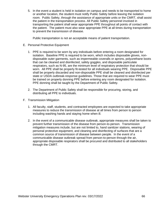5. In the event a student is held in isolation on campus and needs to be transported to home or another location, the student must notify Public Safety before leaving the isolation room. Public Safety, through the assistance of appropriate units or the CMRT, shall assist the patient in the transportation process. All Public Safety personnel involved in transporting the patient shall wear appropriate PPE throughout all points of contact with the patient. The patient must also wear appropriate PPE at all times during transportation to prevent the transmission of disease.

Public transportation is not an acceptable means of patient transportation.

- E. Personal Protective Equipment
	- 1. PPE is required to be worn by any individuals before entering a room designated for isolation. Baseline PPE is required to be worn, which includes disposable gloves, nondisposable outer garments, such as impermeable coveralls or aprons, polyurethane boots that can be cleaned and disinfected, safety goggles, and disposable particulate respirators, such as N-95, are the minimum level of respiratory protection that should be worn. All PPE shall be properly fit-tested for all individuals wearing PPE. Disposable PPE shall be properly discarded and non-disposable PPE shall be cleaned and disinfected per state or USDA outbreak-response guidelines. Those that are required to wear PPE must be trained on properly donning PPE before entering any room designated for isolation. PPE donning shall be taught by the Department of Public Safety.
	- 2. The Department of Public Safety shall be responsible for procuring, storing, and distributing all PPE to individuals.
- F. Transmission Mitigation
	- 1. All faculty, staff, students, and contracted employees are expected to take appropriate measures to reduce the transmission of disease at all times from person to person including washing hands and staying home when ill.
	- 2. In the event of a communicable disease outbreak, appropriate measures shall be taken to prevent further transmission of the disease from person-to-person. Transmission mitigation measures include, but are not limited to, hand sanitizer stations, wearing of personal protective equipment, and cleaning and disinfecting of surfaces that are a common source of transmission of disease between people. In the event of a communicable disease outbreak spread from person-to-person through the air, appropriate disposable respirators shall be procured and distributed to all stakeholders through the CMRT.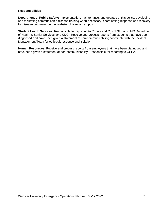#### **Responsibilities**

**Department of Public Safety:** Implementation, maintenance, and updates of this policy; developing and facilitating communicable disease training when necessary; coordinating response and recovery for disease outbreaks on the Webster University campus.

**Student Health Services:** Responsible for reporting to County and City of St. Louis, MO Department of Health & Senior Services, and CDC. Receive and process reports from students that have been diagnosed and have been given a statement of non-communicability; coordinate with the Incident Management Team for outbreak response and isolation.

**Human Resources:** Receive and process reports from employees that have been diagnosed and have been given a statement of non-communicability. Responsible for reporting to OSHA.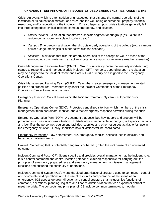#### **APPENDIX 1 - DEFINITIONS OF FREQUENTLY USED EMERGENCY RESPONSE TERMS**

Crisis: An event, which is often sudden or unexpected, that disrupts the normal operations of the institution or its educational mission, and threatens the well-being of personnel, property, financial resources, and/or reputation of the institution. On a college campus, crisis situations generally fall into three categories: critical incident, campus emergency, and disaster.

- *Critical Incident* a situation that affects a specific segment or subgroup (ex.: a fire in a residence hall room, an isolated student death).
- *Campus Emergency* a situation that disrupts orderly operations of the college (ex.: a campus power outage, meningitis or other active disease scenario).
- *Disaster* a situation that disrupts orderly operations of the college as well as those of the surrounding community (ex.: an active shooter on campus, some severe weather scenarios).

Crisis Management Response Team (CMRT): Group of university personnel (usually non-teaching) trained to respond to and manage a crisis incident. CRT members; depending upon the situation, may be assigned to the Incident Command Post but will primarily be assigned to the Emergency Operations Center.

Crisis Management Planning Team (CMPT): Team that creates emergency management related policies and procedures. Members may assist the Incident Commander at the Emergency Operations Center to manage the crisis.

Emergency Function: Critical areas within the Incident Command System; i.e. Operations or Planning.

Emergency Operations Center (EOC): Protected centralized site from which members of the crisis management team coordinate, monitor, and direct emergency response activities during the crisis.

Emergency Operation Plan (EOP): A document that describes how people and property will be protected in a disaster or crisis situation. It details who is responsible for carrying out specific actions and identifies the personnel, equipment, facilities, supplies and other resources available for use in the emergency situation. Finally, it outlines how all actions will be coordinated.

Emergency Personnel: Law enforcement, fire, emergency medical services, health officials, and hazardous materials teams.

Hazard: Something that is potentially dangerous or harmful; often the root cause of an unwanted outcome.

Incident Command Post (ICP): Scene specific and provides overall management at the incident site. It is a central command and control location (interior or exterior) responsible for carrying out the principles of emergency preparedness and emergency management, or disaster management functions and ensuring the continuity of operations.

Incident Command System (ICS): A standardized organizational structure used to command, control, and coordinate field operations and the use of resources and personnel at the scene of an emergency**.** ICS uses a top down direction and control structure that includes five functions of command, operations, planning, logistics and finance/administration that can expand or detract to meet the crisis. The concepts and principles of ICS include common terminology, modular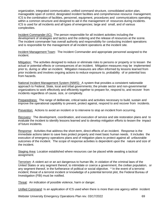organization, integrated communication, unified command structure, consolidated action plan, manageable span of control, designated incident facilities and comprehensive resource management. ICS is the combination of facilities, personnel, equipment, procedures and communications operating within a common structure and designed to aid in the management of resources during incidents. ICS is used for all incidents and all types of emergencies; large and small, and of various complexities.

Incident Commander (IC): The person responsible for all incident activities including the development of strategies and tactics and the ordering and the release of resources at the scene. The incident commander has overall authority and responsibility for conducting incident operations and is responsible for the management of all incident operations at the incident site.

Incident Management Team: The Incident Commander and appropriate personnel assigned to the incident.

Mitigation: The activities designed to reduce or eliminate risks to persons or property or to lessen the actual or potential effects or consequences of an incident. Mitigation measures may be implemented prior to, during or after an incident. Mitigation measures are often informed by lessons learned from prior incidents and involves ongoing actions to reduce exposure to, probability of or potential loss from hazards.

National Incident Management System (NIMS): A system that provides a consistent nationwide approach to Federal, State, local and tribal governments; the private sector and non-governmental organizations to work effectively and efficiently together to prepare for, respond to, and recover from incidents regardless of cause, size, or complexity.

Preparedness: The range of deliberate, critical tasks and activities necessary to build, sustain and improve the operational capability to prevent, protect against, respond to and recover from incidents.

Prevention: Actions to avoid an incident or to intervene to stop an incident from occurring.

Recovery: The development, coordination, and execution of service and site restoration plans and to evaluate the incident to identify lessons learned and to develop mitigation efforts to lessen the impact of future incidents.

Response: Activities that address the short-term, direct effects of an incident. Response is the immediate actions taken to save lives protect property and meet basic human needs. It includes the execution of emergency operations plans and of mitigation plans to protect against all unfavorable outcomes of the incident. The scope of response activities is dependent upon the nature and size of the incident.

Staging Area: Location established where resources can be placed while awaiting a tactical assignment.

Terrorism: A violent act or an act dangerous to human life, in violation of the criminal laws of the United States or any segment thereof, to intimidate or coerce a government, the civilian population, or any segment thereof, in the furtherance of political or social objective. \* In the event of a terrorist incident; threat of a terrorist incident or knowledge of a potential terrorist plot, the Federal Bureau of Investigation (FBI) must be notified.

Threat: An indication of possible violence, harm or danger.

Unified Command: Is an application of ICS used when there is more than one agency within incident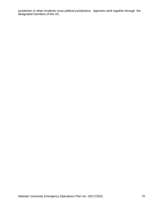jurisdiction or when incidents cross political jurisdictions. Agencies work together through the designated members of the UC.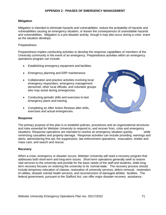# **Mitigation**

Mitigation is intended to eliminate hazards and vulnerabilities, reduce the probability of hazards and vulnerabilities causing an emergency situation, or lessen the consequences of unavoidable hazards and vulnerabilities. Mitigation is a pre-disaster activity, though it may also occur during a crisis event as the situation develops.

## **Preparedness**

Preparedness implies conducting activities to develop the response capabilities of members of the University community in the event of an emergency. Preparedness activities within an emergency operations program can include:

- Establishing emergency equipment and facilities.
- Emergency planning and ERP maintenance.
- Collaboration and practice activities involving local emergency responders, emergency management personnel, other local officials, and volunteer groups who may assist during emergencies.
- Conducting periodic drills and exercises to test emergency plans and training.
- Completing an After Action Reviews after drills, exercises and actual emergencies.



#### **Response**

The primary purpose of this plan is to establish policies, procedures and an organizational structures and roles essential for Webster University to respond to, and recover from, crisis and emergency situations. Response operations are intended to resolve an emergency situation quickly, while minimizing casualties and property damage. Response activities can include providing warnings and alerts, administering first aid, fire suppression, law enforcement operations, evacuation, shelter and mass care, and search and rescue.

## **Recovery**

When a crisis, emergency or disaster occurs, Webster University will need a recovery program that addresses both short-term and long-term issues. Short-term operations generally seek to restore vital services to the university and provide for the basic needs of the staff and students, while longterm recovery focuses on restoring the university to its 'normal state.' The recovery process should include temporary relocation of classes, restoration of university services, debris removal, restoration of utilities, disaster mental health services, and reconstruction of damaged athletic facilities. The federal government, pursuant to the Stafford Act, can offer major disaster recovery assistance.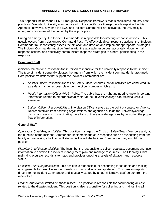## **APPENDIX 3 – FEMA EMERGENCY RESPONSE FRAMEWORK**

This Appendix includes the FEMA Emergency Response framework that is considered industry best practices. Webster University may not use all of the specific positions/protocols explained in this Appendix; however, any time the EOC and Incident Commander are activated, the University's emergency response will be guided by these principles.

During an emergency, the Incident Commander is responsible for directing response actions. This usually occurs from a designated Command Post. To effectively direct response actions, the Incident Commander must constantly assess the situation and develop and implement appropriate strategies. The Incident Commander must be familiar with the available resources, accurately document all response actions, and effectively communicate response strategies to others participating in the response.

## **Command Staff**

*Incident Commander Responsibilities*: Person responsible for the university response to the incident. The type of incident generally dictates the agency from which the incident commander is assigned. Core positions/functions that support the Incident Commander are:

- *Safety Officer: Responsibilities*: The Safety Officer ensures that all activities are conducted in as safe a manner as possible under the circumstances which exist.
- *Public Information Officer (PIO):* Policy: The public has the right and need to know important information related to emergencies/disaster at the university/college site *as soon as it is available.*
- *Liaison Officer: Responsibilities*: The Liaison Officer serves as the point of contact for Agency Representatives from assisting organizations and agencies outside the university/college district and assists in coordinating the efforts of these outside agencies by ensuring the proper flow of information.

## **General Staff**

*Operations Chief Responsibilities*: This position manages the Crisis or Safety Team Members and, at the direction of the Incident Commander, implements the core response such as evacuating from the facility or overseeing a lockdown. If staffing is limited, the Incident Commander may also fill this position.

*Planning Chief Responsibilities*: The incumbent is responsible to collect, evaluate, document and use information to develop the incident management plan and manage resources. The Planning Chief maintains accurate records, site maps and provides ongoing analysis of situation and resource status.

*Logistics Chief Responsibilities*: This position is responsible for accounting for students and making arrangements for basic life support needs such as shelter or transportation. This position reports directly to the Incident Commander and is usually staffed by an administrative staff person from the main office.

*Finance and Administration Responsibilities*: This position is responsible for documenting all cost related to the disaster/incident. This position is also responsible for collecting and maintaining all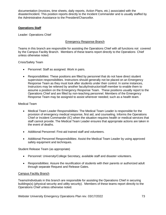documentation (invoices, time sheets, daily reports, Action Plans, etc.) associated with the disaster/incident. This position reports directly to the Incident Commander and is usually staffed by the Administrative Assistance to the President/Chancellor.

## **Operations Staff**

Leader: Operations Chief

## Emergency Response Branch

Teams in this branch are responsible for assisting the Operations Chief with all functions not covered by the Campus Facility Branch. Members of these teams report directly to the Operations Chief unless otherwise noted.

Crisis/Safety Team

- Personnel: Staff as assigned. Work in pairs.
- Responsibilities: These positions are filled by personnel that do not have direct student supervision responsibilities. Instructors should generally not be placed on an Emergency Response Team as they must look after students under their control. In some instances, Instructors may be relieved by another faculty/instructor/staff member to enable them to assume a position on the Emergency Response Team. These positions usually report to the Operations Chief and are filled by non-teaching personnel. Members of the Emergency Response Team may be assigned to assist wherever needed; such as a health team.

## Medical Team

- Medical Team Leader Responsibilities: The Medical Team Leader is responsible for the provision of emergency medical response, first aid, and counseling. Informs the Operations Chief or Incident Commander (IC) when the situation requires health or medical services that staff cannot provide. The Medical Team Leader ensures that appropriate actions are taken in the event of deaths.
- Additional Personnel: First-aid trained staff and volunteers.
- Additional Personnel Responsibilities: Assist the Medical Team Leader by using approved safety equipment and techniques.

Student Release Team (as appropriate)

- Personnel: University/College Secretary, available staff and disaster volunteers.
- Responsibilities: Assure the reunification of students with their parents or authorized adult through separate Request and Release Gates.

# Campus Facility Branch

Teams/individuals in this branch are responsible for assisting the Operations Chief in securing buildings(s) (physical security and utility security). Members of these teams report directly to the Operations Chief unless otherwise noted.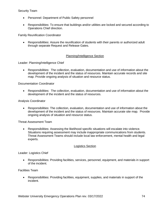- Personnel: Department of Public Safety personnel
- Responsibilities: To ensure that buildings and/or utilities are locked and secured according to Operations Chief direction.

Family Reunification Coordinator

• Responsibilities: Assure the reunification of students with their parents or authorized adult through separate Request and Release Gates.

# Planning/Intelligence Section

Leader: Planning/Intelligence Chief

• Responsibilities: The collection, evaluation, documentation and use of information about the development of the incident and the status of resources. Maintain accurate records and site map. Provide ongoing analysis of situation and resource status.

### Documentation Coordinator

• Responsibilities: The collection, evaluation, documentation and use of information about the development of the incident and the status of resources.

### Analysis Coordinator

• Responsibilities: The collection, evaluation, documentation and use of information about the development of the incident and the status of resources. Maintain accurate site map. Provide ongoing analysis of situation and resource status.

Threat Assessment Team

• Responsibilities: Assessing the likelihood specific situations will escalate into violence. Situations requiring assessment may include inappropriate communications from students. Threat Assessment Teams should include local law enforcement, mental health and legal experts.

#### Logistics Section

## Leader: Logistics Chief

• Responsibilities: Providing facilities, services, personnel, equipment, and materials in support of the incident.

### Facilities Team

• Responsibilities: Providing facilities, equipment, supplies, and materials in support of the incident.